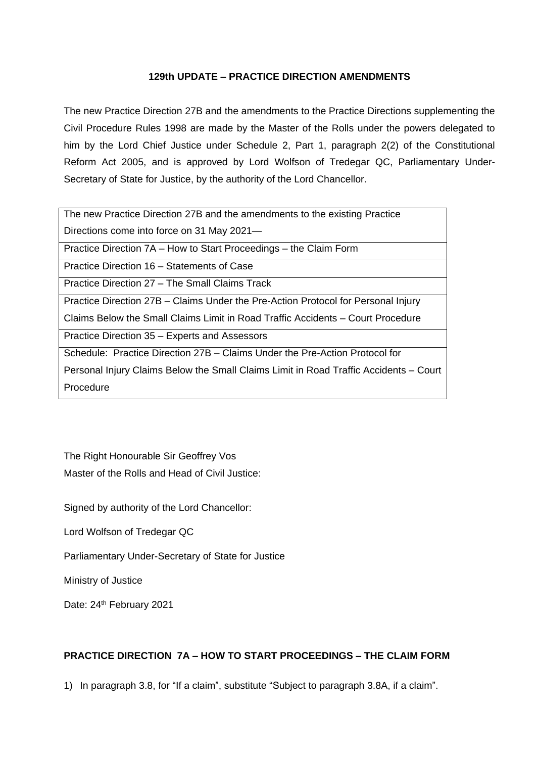# **129th UPDATE – PRACTICE DIRECTION AMENDMENTS**

The new Practice Direction 27B and the amendments to the Practice Directions supplementing the Civil Procedure Rules 1998 are made by the Master of the Rolls under the powers delegated to him by the Lord Chief Justice under Schedule 2, Part 1, paragraph 2(2) of the Constitutional Reform Act 2005, and is approved by Lord Wolfson of Tredegar QC, Parliamentary Under-Secretary of State for Justice, by the authority of the Lord Chancellor.

The new Practice Direction 27B and the amendments to the existing Practice Directions come into force on 31 May 2021—

Practice Direction 7A – How to Start Proceedings – the Claim Form

Practice Direction 16 – Statements of Case

Practice Direction 27 – The Small Claims Track

Practice Direction 27B – Claims Under the Pre-Action Protocol for Personal Injury

Claims Below the Small Claims Limit in Road Traffic Accidents – Court Procedure

Practice Direction 35 – Experts and Assessors

Schedule: Practice Direction 27B – Claims Under the Pre-Action Protocol for

Personal Injury Claims Below the Small Claims Limit in Road Traffic Accidents – Court Procedure

The Right Honourable Sir Geoffrey Vos Master of the Rolls and Head of Civil Justice:

Signed by authority of the Lord Chancellor:

Lord Wolfson of Tredegar QC

Parliamentary Under-Secretary of State for Justice

Ministry of Justice

Date: 24<sup>th</sup> February 2021

# **PRACTICE DIRECTION 7A – HOW TO START PROCEEDINGS – THE CLAIM FORM**

1) In paragraph 3.8, for "If a claim", substitute "Subject to paragraph 3.8A, if a claim".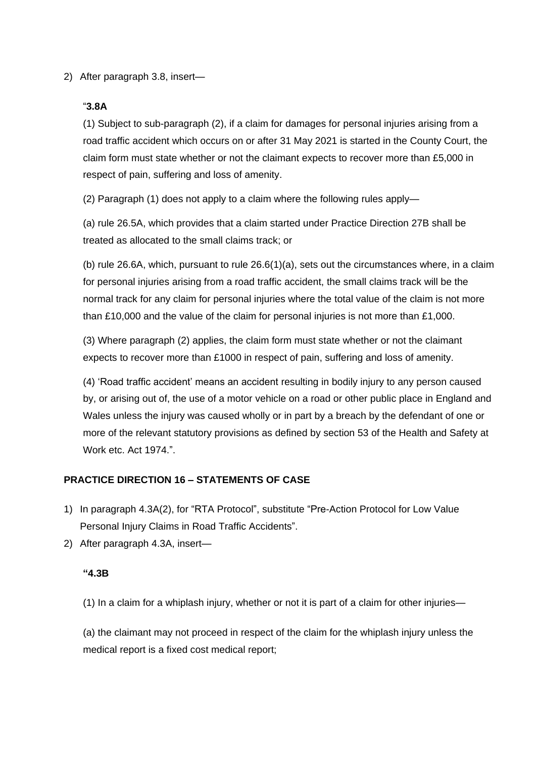2) After paragraph 3.8, insert—

# "**3.8A**

(1) Subject to sub-paragraph (2), if a claim for damages for personal injuries arising from a road traffic accident which occurs on or after 31 May 2021 is started in the County Court, the claim form must state whether or not the claimant expects to recover more than £5,000 in respect of pain, suffering and loss of amenity.

(2) Paragraph (1) does not apply to a claim where the following rules apply—

(a) rule 26.5A, which provides that a claim started under Practice Direction 27B shall be treated as allocated to the small claims track; or

(b) rule 26.6A, which, pursuant to rule 26.6(1)(a), sets out the circumstances where, in a claim for personal injuries arising from a road traffic accident, the small claims track will be the normal track for any claim for personal injuries where the total value of the claim is not more than £10,000 and the value of the claim for personal injuries is not more than £1,000.

(3) Where paragraph (2) applies, the claim form must state whether or not the claimant expects to recover more than £1000 in respect of pain, suffering and loss of amenity.

(4) 'Road traffic accident' means an accident resulting in bodily injury to any person caused by, or arising out of, the use of a motor vehicle on a road or other public place in England and Wales unless the injury was caused wholly or in part by a breach by the defendant of one or more of the relevant statutory provisions as defined by section 53 of the Health and Safety at Work etc. Act 1974."

# **PRACTICE DIRECTION 16 – STATEMENTS OF CASE**

- 1) In paragraph 4.3A(2), for "RTA Protocol", substitute "Pre-Action Protocol for Low Value Personal Injury Claims in Road Traffic Accidents".
- 2) After paragraph 4.3A, insert—

# **"4.3B**

(1) In a claim for a whiplash injury, whether or not it is part of a claim for other injuries—

(a) the claimant may not proceed in respect of the claim for the whiplash injury unless the medical report is a fixed cost medical report;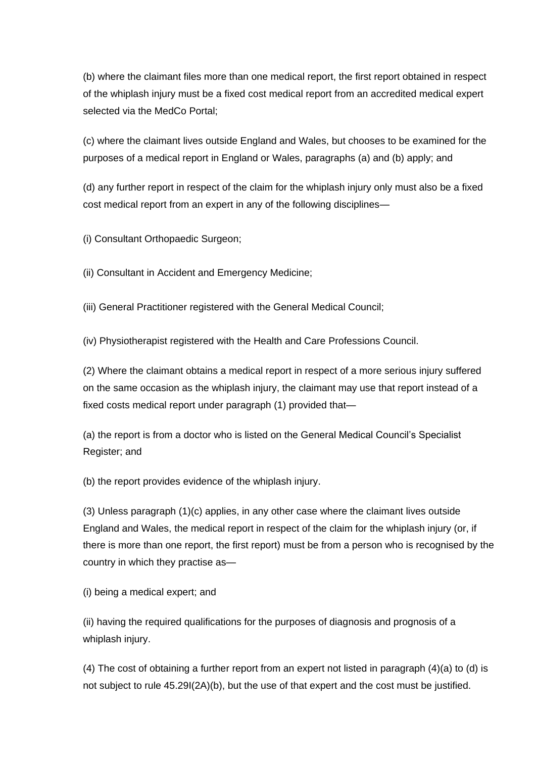(b) where the claimant files more than one medical report, the first report obtained in respect of the whiplash injury must be a fixed cost medical report from an accredited medical expert selected via the MedCo Portal;

(c) where the claimant lives outside England and Wales, but chooses to be examined for the purposes of a medical report in England or Wales, paragraphs (a) and (b) apply; and

(d) any further report in respect of the claim for the whiplash injury only must also be a fixed cost medical report from an expert in any of the following disciplines—

(i) Consultant Orthopaedic Surgeon;

(ii) Consultant in Accident and Emergency Medicine;

(iii) General Practitioner registered with the General Medical Council;

(iv) Physiotherapist registered with the Health and Care Professions Council.

(2) Where the claimant obtains a medical report in respect of a more serious injury suffered on the same occasion as the whiplash injury, the claimant may use that report instead of a fixed costs medical report under paragraph (1) provided that—

(a) the report is from a doctor who is listed on the General Medical Council's Specialist Register; and

(b) the report provides evidence of the whiplash injury.

(3) Unless paragraph (1)(c) applies, in any other case where the claimant lives outside England and Wales, the medical report in respect of the claim for the whiplash injury (or, if there is more than one report, the first report) must be from a person who is recognised by the country in which they practise as—

(i) being a medical expert; and

(ii) having the required qualifications for the purposes of diagnosis and prognosis of a whiplash injury.

(4) The cost of obtaining a further report from an expert not listed in paragraph (4)(a) to (d) is not subject to rule 45.29I(2A)(b), but the use of that expert and the cost must be justified.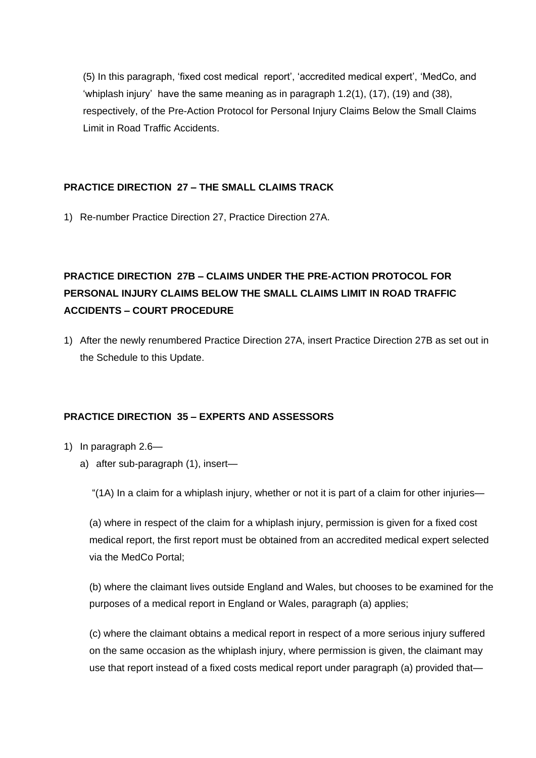(5) In this paragraph, 'fixed cost medical report', 'accredited medical expert', 'MedCo, and 'whiplash injury' have the same meaning as in paragraph 1.2(1), (17), (19) and (38), respectively, of the Pre-Action Protocol for Personal Injury Claims Below the Small Claims Limit in Road Traffic Accidents.

# **PRACTICE DIRECTION 27 – THE SMALL CLAIMS TRACK**

1) Re-number Practice Direction 27, Practice Direction 27A.

# **PRACTICE DIRECTION 27B – CLAIMS UNDER THE PRE-ACTION PROTOCOL FOR PERSONAL INJURY CLAIMS BELOW THE SMALL CLAIMS LIMIT IN ROAD TRAFFIC ACCIDENTS – COURT PROCEDURE**

1) After the newly renumbered Practice Direction 27A, insert Practice Direction 27B as set out in the Schedule to this Update.

# **PRACTICE DIRECTION 35 – EXPERTS AND ASSESSORS**

- 1) In paragraph 2.6
	- a) after sub-paragraph (1), insert—

"(1A) In a claim for a whiplash injury, whether or not it is part of a claim for other injuries—

(a) where in respect of the claim for a whiplash injury, permission is given for a fixed cost medical report, the first report must be obtained from an accredited medical expert selected via the MedCo Portal;

(b) where the claimant lives outside England and Wales, but chooses to be examined for the purposes of a medical report in England or Wales, paragraph (a) applies;

(c) where the claimant obtains a medical report in respect of a more serious injury suffered on the same occasion as the whiplash injury, where permission is given, the claimant may use that report instead of a fixed costs medical report under paragraph (a) provided that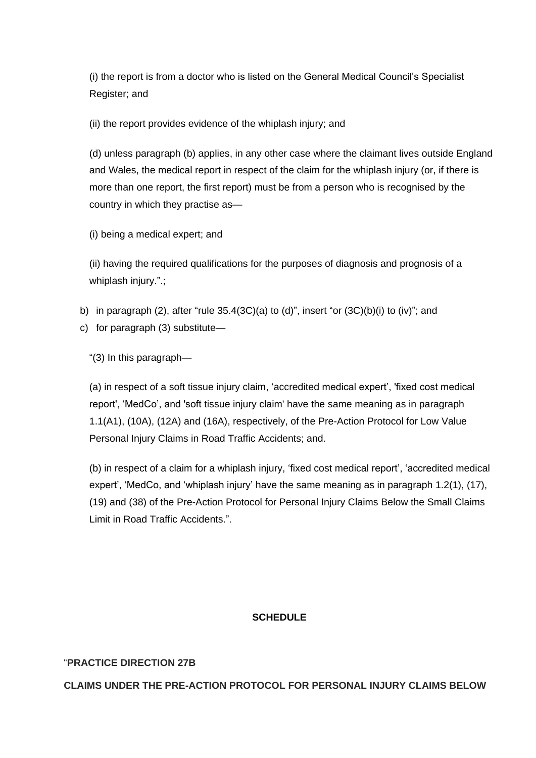(i) the report is from a doctor who is listed on the General Medical Council's Specialist Register; and

(ii) the report provides evidence of the whiplash injury; and

(d) unless paragraph (b) applies, in any other case where the claimant lives outside England and Wales, the medical report in respect of the claim for the whiplash injury (or, if there is more than one report, the first report) must be from a person who is recognised by the country in which they practise as—

(i) being a medical expert; and

(ii) having the required qualifications for the purposes of diagnosis and prognosis of a whiplash injury.".:

- b) in paragraph (2), after "rule  $35.4(3C)(a)$  to (d)", insert "or  $(3C)(b)(i)$  to (iv)"; and
- c) for paragraph (3) substitute—

"(3) In this paragraph—

(a) in respect of a soft tissue injury claim, 'accredited medical expert', 'fixed cost medical report', 'MedCo', and 'soft tissue injury claim' have the same meaning as in paragraph 1.1(A1), (10A), (12A) and (16A), respectively, of the Pre-Action Protocol for Low Value Personal Injury Claims in Road Traffic Accidents; and.

(b) in respect of a claim for a whiplash injury, 'fixed cost medical report', 'accredited medical expert', 'MedCo, and 'whiplash injury' have the same meaning as in paragraph 1.2(1), (17), (19) and (38) of the Pre-Action Protocol for Personal Injury Claims Below the Small Claims Limit in Road Traffic Accidents.".

# **SCHEDULE**

#### "**PRACTICE DIRECTION 27B**

**CLAIMS UNDER THE PRE-ACTION PROTOCOL FOR PERSONAL INJURY CLAIMS BELOW**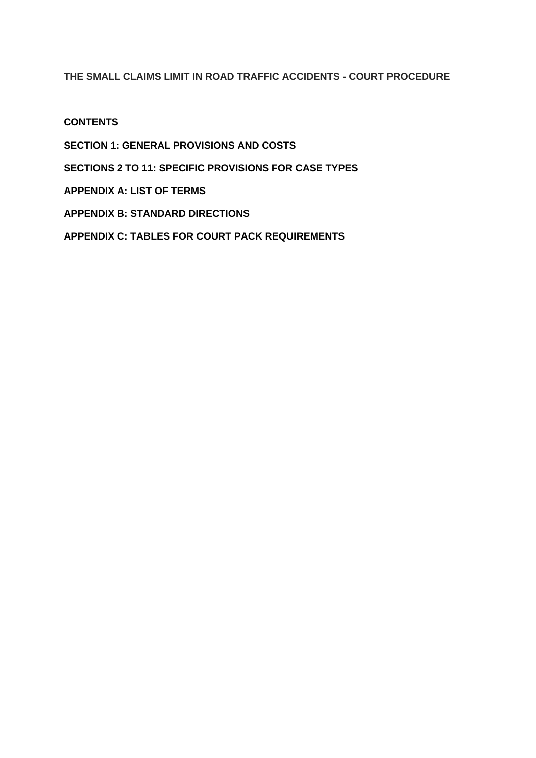# **THE SMALL CLAIMS LIMIT IN ROAD TRAFFIC ACCIDENTS - COURT PROCEDURE**

**CONTENTS**

**SECTION 1: GENERAL PROVISIONS AND COSTS**

**SECTIONS 2 TO 11: SPECIFIC PROVISIONS FOR CASE TYPES** 

**APPENDIX A: LIST OF TERMS**

**APPENDIX B: STANDARD DIRECTIONS**

**APPENDIX C: TABLES FOR COURT PACK REQUIREMENTS**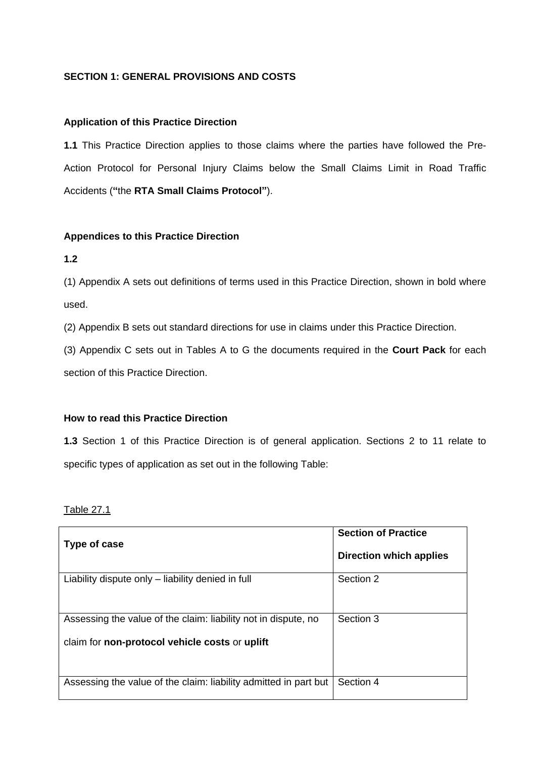# **SECTION 1: GENERAL PROVISIONS AND COSTS**

#### **Application of this Practice Direction**

**1.1** This Practice Direction applies to those claims where the parties have followed the Pre-Action Protocol for Personal Injury Claims below the Small Claims Limit in Road Traffic Accidents (**"**the **RTA Small Claims Protocol"**).

#### **Appendices to this Practice Direction**

**1.2**

(1) Appendix A sets out definitions of terms used in this Practice Direction, shown in bold where used.

(2) Appendix B sets out standard directions for use in claims under this Practice Direction.

(3) Appendix C sets out in Tables A to G the documents required in the **Court Pack** for each section of this Practice Direction.

#### **How to read this Practice Direction**

**1.3** Section 1 of this Practice Direction is of general application. Sections 2 to 11 relate to specific types of application as set out in the following Table:

Table 27.1

|                                                                  | <b>Section of Practice</b> |
|------------------------------------------------------------------|----------------------------|
| Type of case                                                     |                            |
|                                                                  | Direction which applies    |
| Liability dispute only – liability denied in full                | Section 2                  |
|                                                                  |                            |
|                                                                  |                            |
| Assessing the value of the claim: liability not in dispute, no   | Section 3                  |
|                                                                  |                            |
| claim for non-protocol vehicle costs or uplift                   |                            |
|                                                                  |                            |
|                                                                  |                            |
| Assessing the value of the claim: liability admitted in part but | Section 4                  |
|                                                                  |                            |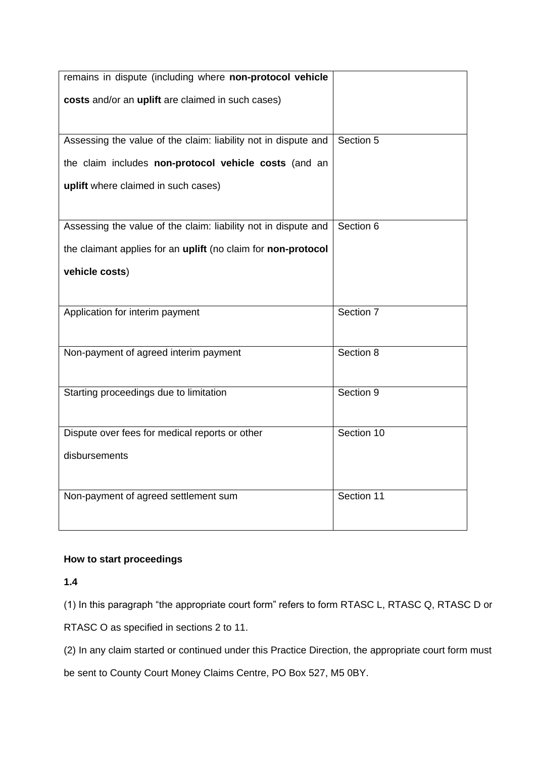| remains in dispute (including where non-protocol vehicle       |            |
|----------------------------------------------------------------|------------|
| costs and/or an uplift are claimed in such cases)              |            |
|                                                                |            |
| Assessing the value of the claim: liability not in dispute and | Section 5  |
| the claim includes non-protocol vehicle costs (and an          |            |
| uplift where claimed in such cases)                            |            |
|                                                                |            |
| Assessing the value of the claim: liability not in dispute and | Section 6  |
| the claimant applies for an uplift (no claim for non-protocol  |            |
| vehicle costs)                                                 |            |
|                                                                |            |
| Application for interim payment                                | Section 7  |
|                                                                |            |
| Non-payment of agreed interim payment                          | Section 8  |
|                                                                |            |
| Starting proceedings due to limitation                         | Section 9  |
|                                                                |            |
| Dispute over fees for medical reports or other                 | Section 10 |
| disbursements                                                  |            |
|                                                                |            |
| Non-payment of agreed settlement sum                           | Section 11 |
|                                                                |            |

# **How to start proceedings**

**1.4**

(1) In this paragraph "the appropriate court form" refers to form RTASC L, RTASC Q, RTASC D or

RTASC O as specified in sections 2 to 11.

(2) In any claim started or continued under this Practice Direction, the appropriate court form must

be sent to County Court Money Claims Centre, PO Box 527, M5 0BY.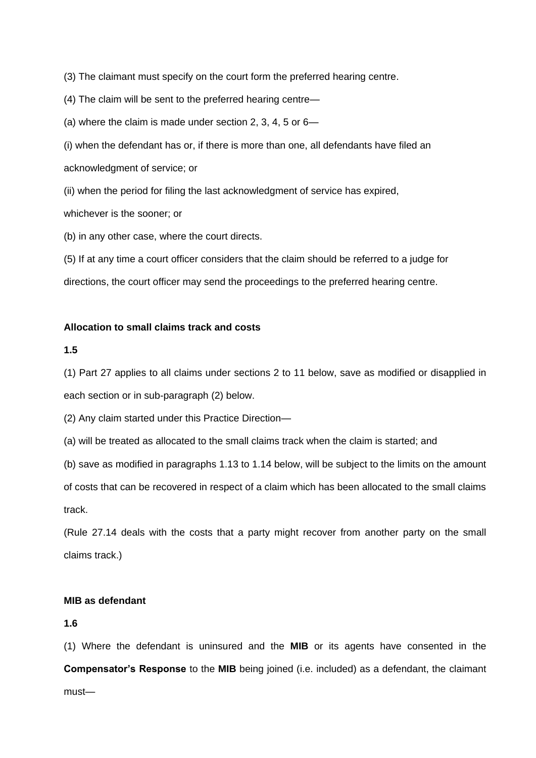(3) The claimant must specify on the court form the preferred hearing centre.

(4) The claim will be sent to the preferred hearing centre—

(a) where the claim is made under section 2, 3, 4, 5 or 6—

(i) when the defendant has or, if there is more than one, all defendants have filed an acknowledgment of service; or

(ii) when the period for filing the last acknowledgment of service has expired,

whichever is the sooner; or

(b) in any other case, where the court directs.

(5) If at any time a court officer considers that the claim should be referred to a judge for

directions, the court officer may send the proceedings to the preferred hearing centre.

# **Allocation to small claims track and costs**

# **1.5**

(1) Part 27 applies to all claims under sections 2 to 11 below, save as modified or disapplied in each section or in sub-paragraph (2) below.

(2) Any claim started under this Practice Direction—

(a) will be treated as allocated to the small claims track when the claim is started; and

(b) save as modified in paragraphs 1.13 to 1.14 below, will be subject to the limits on the amount of costs that can be recovered in respect of a claim which has been allocated to the small claims track.

(Rule 27.14 deals with the costs that a party might recover from another party on the small claims track.)

# **MIB as defendant**

# **1.6**

(1) Where the defendant is uninsured and the **MIB** or its agents have consented in the **Compensator's Response** to the **MIB** being joined (i.e. included) as a defendant, the claimant must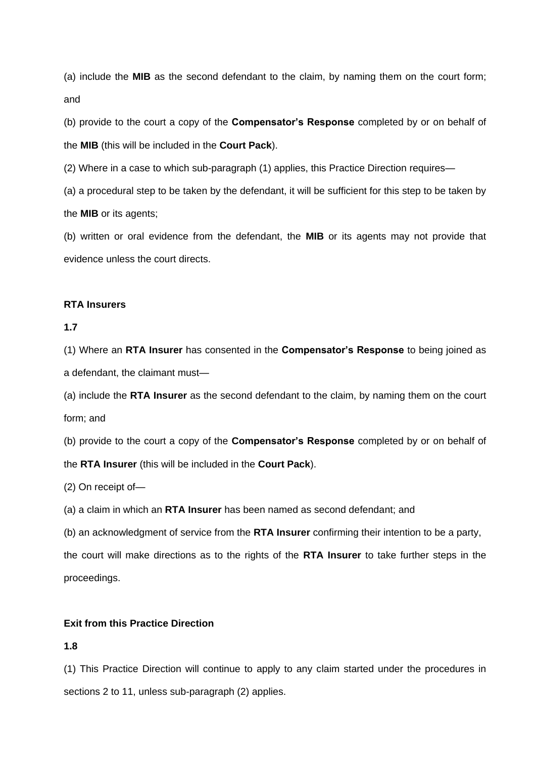(a) include the **MIB** as the second defendant to the claim, by naming them on the court form; and

(b) provide to the court a copy of the **Compensator's Response** completed by or on behalf of the **MIB** (this will be included in the **Court Pack**).

(2) Where in a case to which sub-paragraph (1) applies, this Practice Direction requires—

(a) a procedural step to be taken by the defendant, it will be sufficient for this step to be taken by the **MIB** or its agents;

(b) written or oral evidence from the defendant, the **MIB** or its agents may not provide that evidence unless the court directs.

#### **RTA Insurers**

#### **1.7**

(1) Where an **RTA Insurer** has consented in the **Compensator's Response** to being joined as a defendant, the claimant must—

(a) include the **RTA Insurer** as the second defendant to the claim, by naming them on the court form; and

(b) provide to the court a copy of the **Compensator's Response** completed by or on behalf of the **RTA Insurer** (this will be included in the **Court Pack**).

(2) On receipt of—

(a) a claim in which an **RTA Insurer** has been named as second defendant; and

(b) an acknowledgment of service from the **RTA Insurer** confirming their intention to be a party,

the court will make directions as to the rights of the **RTA Insurer** to take further steps in the proceedings.

#### **Exit from this Practice Direction**

#### **1.8**

(1) This Practice Direction will continue to apply to any claim started under the procedures in sections 2 to 11, unless sub-paragraph (2) applies.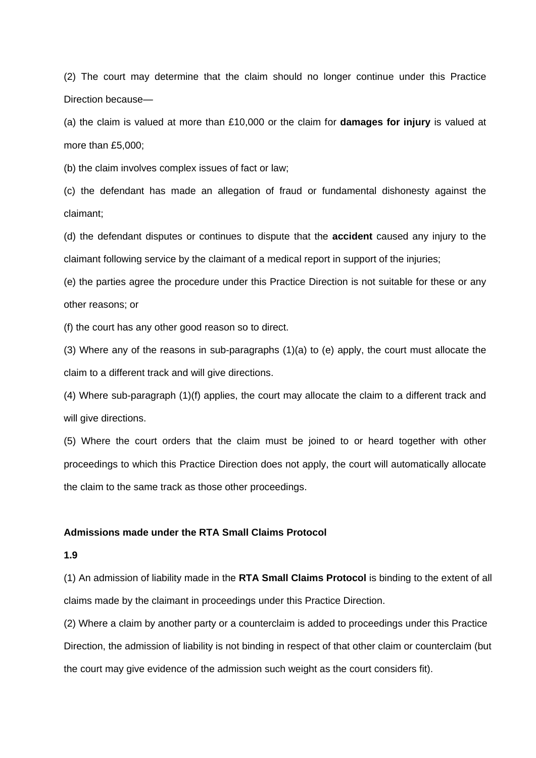(2) The court may determine that the claim should no longer continue under this Practice Direction because—

(a) the claim is valued at more than £10,000 or the claim for **damages for injury** is valued at more than £5,000;

(b) the claim involves complex issues of fact or law;

(c) the defendant has made an allegation of fraud or fundamental dishonesty against the claimant;

(d) the defendant disputes or continues to dispute that the **accident** caused any injury to the claimant following service by the claimant of a medical report in support of the injuries;

(e) the parties agree the procedure under this Practice Direction is not suitable for these or any other reasons; or

(f) the court has any other good reason so to direct.

(3) Where any of the reasons in sub-paragraphs (1)(a) to (e) apply, the court must allocate the claim to a different track and will give directions.

(4) Where sub-paragraph (1)(f) applies, the court may allocate the claim to a different track and will give directions.

(5) Where the court orders that the claim must be joined to or heard together with other proceedings to which this Practice Direction does not apply, the court will automatically allocate the claim to the same track as those other proceedings.

#### **Admissions made under the RTA Small Claims Protocol**

#### **1.9**

(1) An admission of liability made in the **RTA Small Claims Protocol** is binding to the extent of all claims made by the claimant in proceedings under this Practice Direction.

(2) Where a claim by another party or a counterclaim is added to proceedings under this Practice Direction, the admission of liability is not binding in respect of that other claim or counterclaim (but the court may give evidence of the admission such weight as the court considers fit).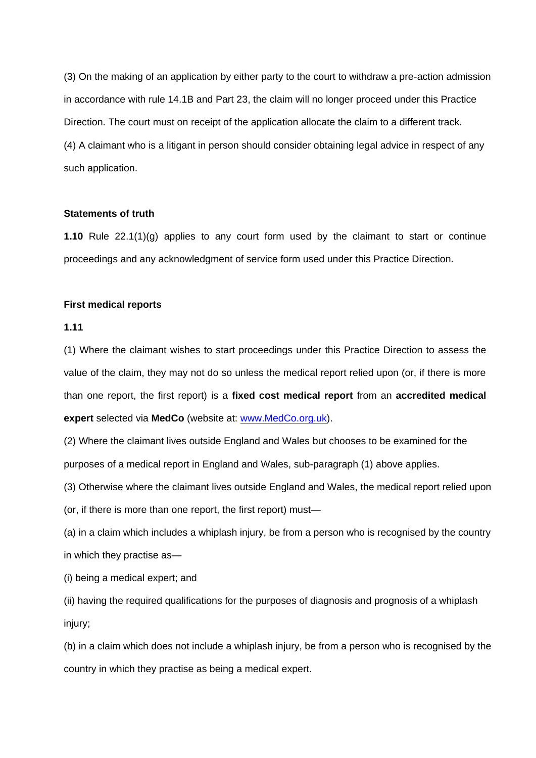(3) On the making of an application by either party to the court to withdraw a pre-action admission in accordance with rule 14.1B and Part 23, the claim will no longer proceed under this Practice Direction. The court must on receipt of the application allocate the claim to a different track. (4) A claimant who is a litigant in person should consider obtaining legal advice in respect of any such application.

### **Statements of truth**

**1.10** Rule 22.1(1)(g) applies to any court form used by the claimant to start or continue proceedings and any acknowledgment of service form used under this Practice Direction.

#### **First medical reports**

#### **1.11**

(1) Where the claimant wishes to start proceedings under this Practice Direction to assess the value of the claim, they may not do so unless the medical report relied upon (or, if there is more than one report, the first report) is a **fixed cost medical report** from an **accredited medical expert** selected via **MedCo** (website at: [www.MedCo.org.uk\)](http://www.medco.org.uk/).

(2) Where the claimant lives outside England and Wales but chooses to be examined for the purposes of a medical report in England and Wales, sub-paragraph (1) above applies.

(3) Otherwise where the claimant lives outside England and Wales, the medical report relied upon

(or, if there is more than one report, the first report) must—

(a) in a claim which includes a whiplash injury, be from a person who is recognised by the country in which they practise as—

(i) being a medical expert; and

(ii) having the required qualifications for the purposes of diagnosis and prognosis of a whiplash injury;

(b) in a claim which does not include a whiplash injury, be from a person who is recognised by the country in which they practise as being a medical expert.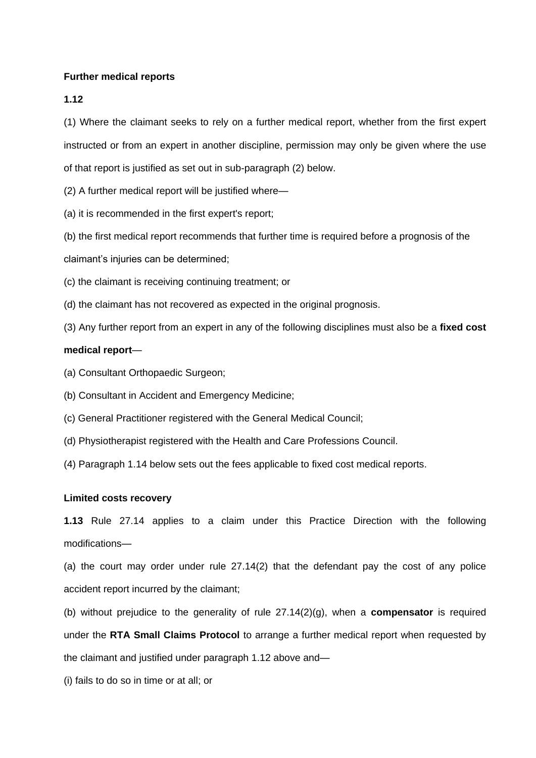#### **Further medical reports**

**1.12**

(1) Where the claimant seeks to rely on a further medical report, whether from the first expert instructed or from an expert in another discipline, permission may only be given where the use of that report is justified as set out in sub-paragraph (2) below.

(2) A further medical report will be justified where—

(a) it is recommended in the first expert's report;

(b) the first medical report recommends that further time is required before a prognosis of the

claimant's injuries can be determined;

(c) the claimant is receiving continuing treatment; or

(d) the claimant has not recovered as expected in the original prognosis.

(3) Any further report from an expert in any of the following disciplines must also be a **fixed cost** 

#### **medical report**—

- (a) Consultant Orthopaedic Surgeon;
- (b) Consultant in Accident and Emergency Medicine;
- (c) General Practitioner registered with the General Medical Council;
- (d) Physiotherapist registered with the Health and Care Professions Council.
- (4) Paragraph 1.14 below sets out the fees applicable to fixed cost medical reports.

#### **Limited costs recovery**

**1.13** Rule 27.14 applies to a claim under this Practice Direction with the following modifications—

(a) the court may order under rule 27.14(2) that the defendant pay the cost of any police accident report incurred by the claimant;

(b) without prejudice to the generality of rule 27.14(2)(g), when a **compensator** is required under the **RTA Small Claims Protocol** to arrange a further medical report when requested by the claimant and justified under paragraph 1.12 above and—

(i) fails to do so in time or at all; or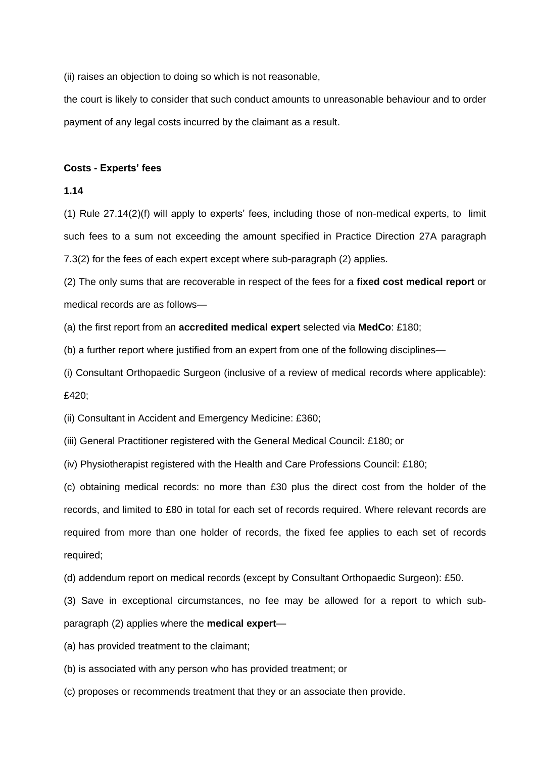(ii) raises an objection to doing so which is not reasonable,

the court is likely to consider that such conduct amounts to unreasonable behaviour and to order payment of any legal costs incurred by the claimant as a result.

#### **Costs - Experts' fees**

#### **1.14**

(1) Rule 27.14(2)(f) will apply to experts' fees, including those of non-medical experts, to limit such fees to a sum not exceeding the amount specified in Practice Direction 27A paragraph 7.3(2) for the fees of each expert except where sub-paragraph (2) applies.

(2) The only sums that are recoverable in respect of the fees for a **fixed cost medical report** or medical records are as follows—

(a) the first report from an **accredited medical expert** selected via **MedCo**: £180;

(b) a further report where justified from an expert from one of the following disciplines—

(i) Consultant Orthopaedic Surgeon (inclusive of a review of medical records where applicable): £420;

(ii) Consultant in Accident and Emergency Medicine: £360;

(iii) General Practitioner registered with the General Medical Council: £180; or

(iv) Physiotherapist registered with the Health and Care Professions Council: £180;

(c) obtaining medical records: no more than £30 plus the direct cost from the holder of the records, and limited to £80 in total for each set of records required. Where relevant records are required from more than one holder of records, the fixed fee applies to each set of records required;

(d) addendum report on medical records (except by Consultant Orthopaedic Surgeon): £50.

(3) Save in exceptional circumstances, no fee may be allowed for a report to which subparagraph (2) applies where the **medical expert**—

(a) has provided treatment to the claimant;

(b) is associated with any person who has provided treatment; or

(c) proposes or recommends treatment that they or an associate then provide.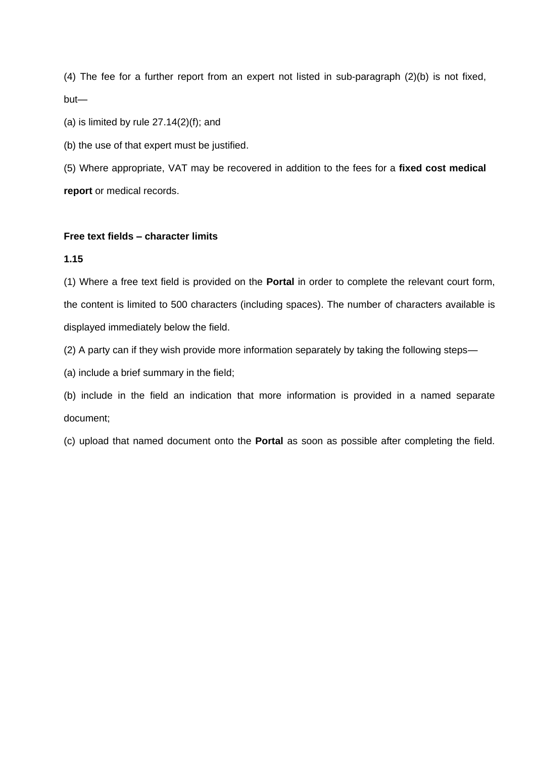(4) The fee for a further report from an expert not listed in sub-paragraph (2)(b) is not fixed, but—

(a) is limited by rule  $27.14(2)(f)$ ; and

(b) the use of that expert must be justified.

(5) Where appropriate, VAT may be recovered in addition to the fees for a **fixed cost medical report** or medical records.

### **Free text fields – character limits**

#### **1.15**

(1) Where a free text field is provided on the **Portal** in order to complete the relevant court form, the content is limited to 500 characters (including spaces). The number of characters available is displayed immediately below the field.

(2) A party can if they wish provide more information separately by taking the following steps—

(a) include a brief summary in the field;

(b) include in the field an indication that more information is provided in a named separate document;

(c) upload that named document onto the **Portal** as soon as possible after completing the field.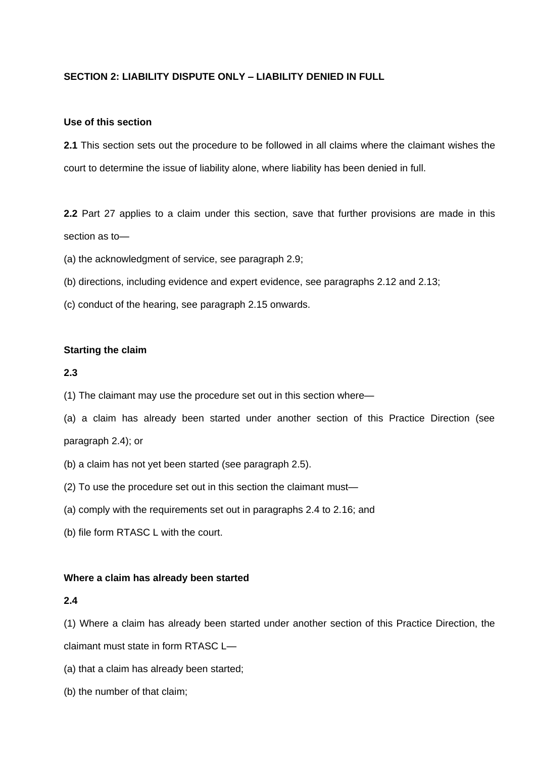# **SECTION 2: LIABILITY DISPUTE ONLY – LIABILITY DENIED IN FULL**

#### **Use of this section**

**2.1** This section sets out the procedure to be followed in all claims where the claimant wishes the court to determine the issue of liability alone, where liability has been denied in full.

**2.2** Part 27 applies to a claim under this section, save that further provisions are made in this section as to—

(a) the acknowledgment of service, see paragraph 2.9;

- (b) directions, including evidence and expert evidence, see paragraphs 2.12 and 2.13;
- (c) conduct of the hearing, see paragraph 2.15 onwards.

#### **Starting the claim**

# **2.3**

- (1) The claimant may use the procedure set out in this section where—
- (a) a claim has already been started under another section of this Practice Direction (see paragraph 2.4); or
- (b) a claim has not yet been started (see paragraph 2.5).
- (2) To use the procedure set out in this section the claimant must—
- (a) comply with the requirements set out in paragraphs 2.4 to 2.16; and
- (b) file form RTASC L with the court.

#### **Where a claim has already been started**

#### **2.4**

(1) Where a claim has already been started under another section of this Practice Direction, the

claimant must state in form RTASC L—

- (a) that a claim has already been started;
- (b) the number of that claim;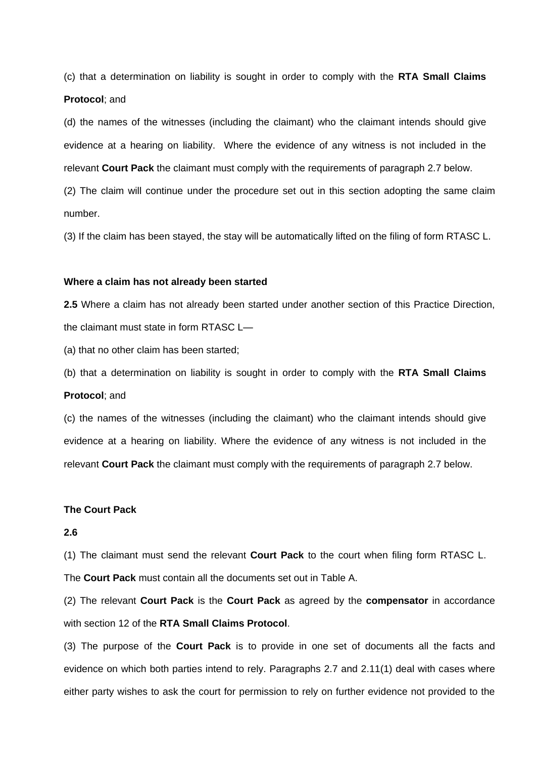(c) that a determination on liability is sought in order to comply with the **RTA Small Claims Protocol**; and

(d) the names of the witnesses (including the claimant) who the claimant intends should give evidence at a hearing on liability. Where the evidence of any witness is not included in the relevant **Court Pack** the claimant must comply with the requirements of paragraph 2.7 below.

(2) The claim will continue under the procedure set out in this section adopting the same claim number.

(3) If the claim has been stayed, the stay will be automatically lifted on the filing of form RTASC L.

#### **Where a claim has not already been started**

**2.5** Where a claim has not already been started under another section of this Practice Direction, the claimant must state in form RTASC L—

(a) that no other claim has been started;

(b) that a determination on liability is sought in order to comply with the **RTA Small Claims Protocol**; and

(c) the names of the witnesses (including the claimant) who the claimant intends should give evidence at a hearing on liability. Where the evidence of any witness is not included in the relevant **Court Pack** the claimant must comply with the requirements of paragraph 2.7 below.

#### **The Court Pack**

#### **2.6**

(1) The claimant must send the relevant **Court Pack** to the court when filing form RTASC L. The **Court Pack** must contain all the documents set out in Table A.

(2) The relevant **Court Pack** is the **Court Pack** as agreed by the **compensator** in accordance with section 12 of the **RTA Small Claims Protocol**.

(3) The purpose of the **Court Pack** is to provide in one set of documents all the facts and evidence on which both parties intend to rely. Paragraphs 2.7 and 2.11(1) deal with cases where either party wishes to ask the court for permission to rely on further evidence not provided to the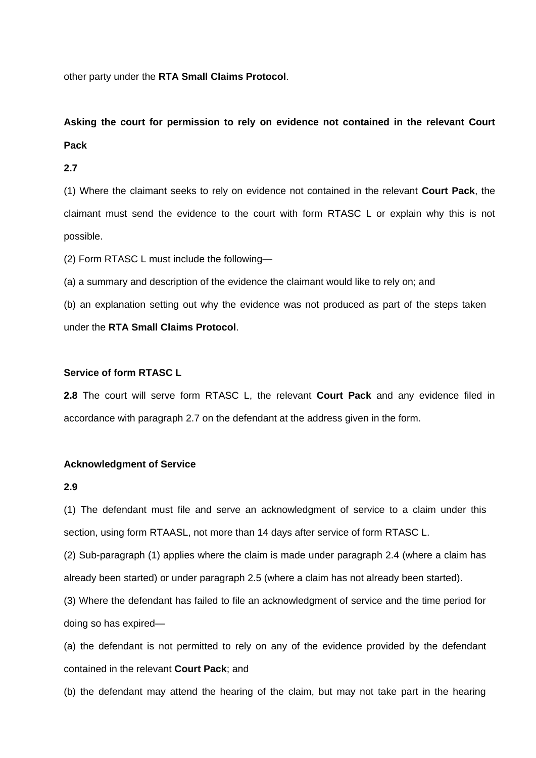other party under the **RTA Small Claims Protocol**.

# **Asking the court for permission to rely on evidence not contained in the relevant Court Pack**

# **2.7**

(1) Where the claimant seeks to rely on evidence not contained in the relevant **Court Pack**, the claimant must send the evidence to the court with form RTASC L or explain why this is not possible.

(2) Form RTASC L must include the following—

(a) a summary and description of the evidence the claimant would like to rely on; and

(b) an explanation setting out why the evidence was not produced as part of the steps taken under the **RTA Small Claims Protocol**.

# **Service of form RTASC L**

**2.8** The court will serve form RTASC L, the relevant **Court Pack** and any evidence filed in accordance with paragraph 2.7 on the defendant at the address given in the form.

#### **Acknowledgment of Service**

#### **2.9**

(1) The defendant must file and serve an acknowledgment of service to a claim under this section, using form RTAASL, not more than 14 days after service of form RTASC L.

(2) Sub-paragraph (1) applies where the claim is made under paragraph 2.4 (where a claim has already been started) or under paragraph 2.5 (where a claim has not already been started).

(3) Where the defendant has failed to file an acknowledgment of service and the time period for doing so has expired—

(a) the defendant is not permitted to rely on any of the evidence provided by the defendant contained in the relevant **Court Pack**; and

(b) the defendant may attend the hearing of the claim, but may not take part in the hearing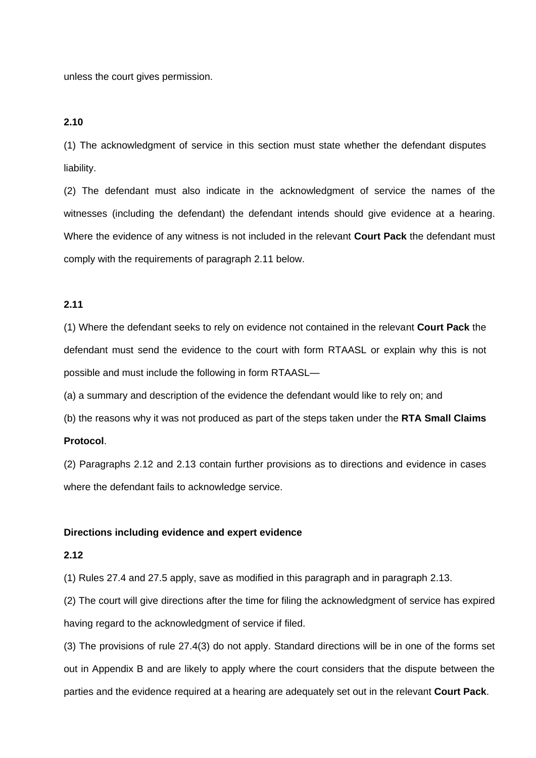unless the court gives permission.

#### **2.10**

(1) The acknowledgment of service in this section must state whether the defendant disputes liability.

(2) The defendant must also indicate in the acknowledgment of service the names of the witnesses (including the defendant) the defendant intends should give evidence at a hearing. Where the evidence of any witness is not included in the relevant **Court Pack** the defendant must comply with the requirements of paragraph 2.11 below.

# **2.11**

(1) Where the defendant seeks to rely on evidence not contained in the relevant **Court Pack** the defendant must send the evidence to the court with form RTAASL or explain why this is not possible and must include the following in form RTAASL—

(a) a summary and description of the evidence the defendant would like to rely on; and

(b) the reasons why it was not produced as part of the steps taken under the **RTA Small Claims** 

#### **Protocol**.

(2) Paragraphs 2.12 and 2.13 contain further provisions as to directions and evidence in cases where the defendant fails to acknowledge service.

#### **Directions including evidence and expert evidence**

#### **2.12**

(1) Rules 27.4 and 27.5 apply, save as modified in this paragraph and in paragraph 2.13.

(2) The court will give directions after the time for filing the acknowledgment of service has expired having regard to the acknowledgment of service if filed.

(3) The provisions of rule 27.4(3) do not apply. Standard directions will be in one of the forms set out in Appendix B and are likely to apply where the court considers that the dispute between the parties and the evidence required at a hearing are adequately set out in the relevant **Court Pack**.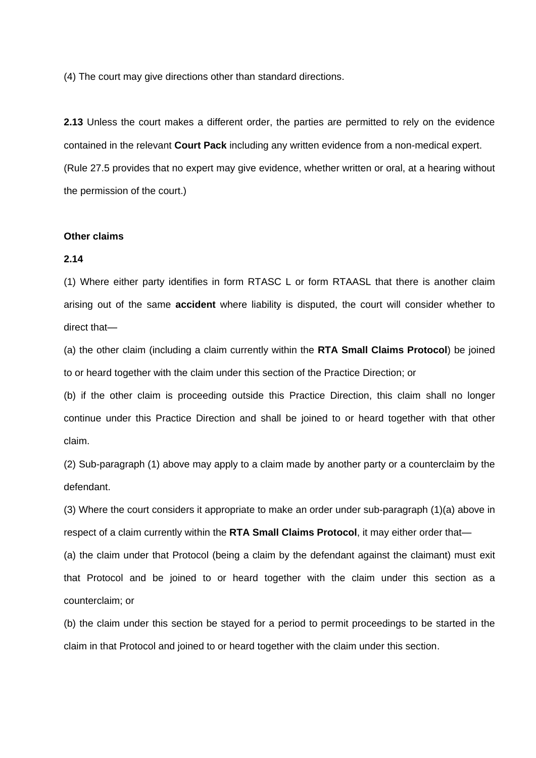(4) The court may give directions other than standard directions.

**2.13** Unless the court makes a different order, the parties are permitted to rely on the evidence contained in the relevant **Court Pack** including any written evidence from a non-medical expert. (Rule 27.5 provides that no expert may give evidence, whether written or oral, at a hearing without the permission of the court.)

#### **Other claims**

#### **2.14**

(1) Where either party identifies in form RTASC L or form RTAASL that there is another claim arising out of the same **accident** where liability is disputed, the court will consider whether to direct that—

(a) the other claim (including a claim currently within the **RTA Small Claims Protocol**) be joined to or heard together with the claim under this section of the Practice Direction; or

(b) if the other claim is proceeding outside this Practice Direction, this claim shall no longer continue under this Practice Direction and shall be joined to or heard together with that other claim.

(2) Sub-paragraph (1) above may apply to a claim made by another party or a counterclaim by the defendant.

(3) Where the court considers it appropriate to make an order under sub-paragraph (1)(a) above in respect of a claim currently within the **RTA Small Claims Protocol**, it may either order that—

(a) the claim under that Protocol (being a claim by the defendant against the claimant) must exit that Protocol and be joined to or heard together with the claim under this section as a counterclaim; or

(b) the claim under this section be stayed for a period to permit proceedings to be started in the claim in that Protocol and joined to or heard together with the claim under this section.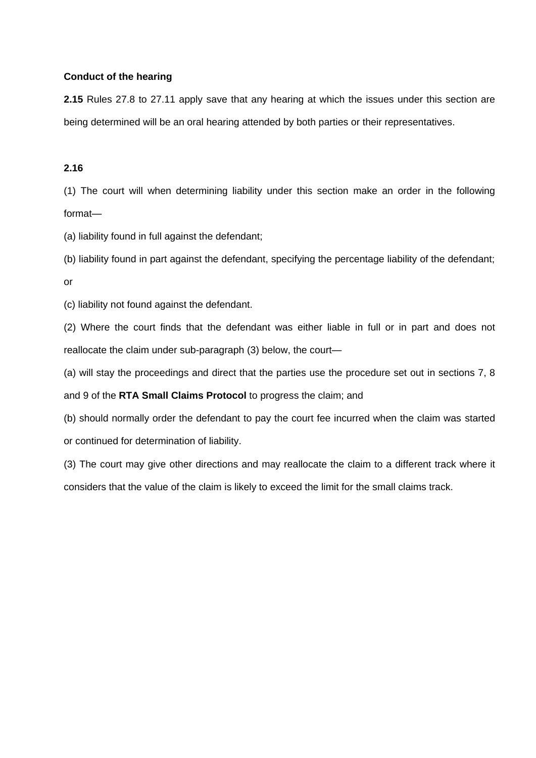# **Conduct of the hearing**

**2.15** Rules 27.8 to 27.11 apply save that any hearing at which the issues under this section are being determined will be an oral hearing attended by both parties or their representatives.

# **2.16**

(1) The court will when determining liability under this section make an order in the following format—

(a) liability found in full against the defendant;

(b) liability found in part against the defendant, specifying the percentage liability of the defendant; or

(c) liability not found against the defendant.

(2) Where the court finds that the defendant was either liable in full or in part and does not reallocate the claim under sub-paragraph (3) below, the court—

(a) will stay the proceedings and direct that the parties use the procedure set out in sections 7, 8

and 9 of the **RTA Small Claims Protocol** to progress the claim; and

(b) should normally order the defendant to pay the court fee incurred when the claim was started or continued for determination of liability.

(3) The court may give other directions and may reallocate the claim to a different track where it considers that the value of the claim is likely to exceed the limit for the small claims track.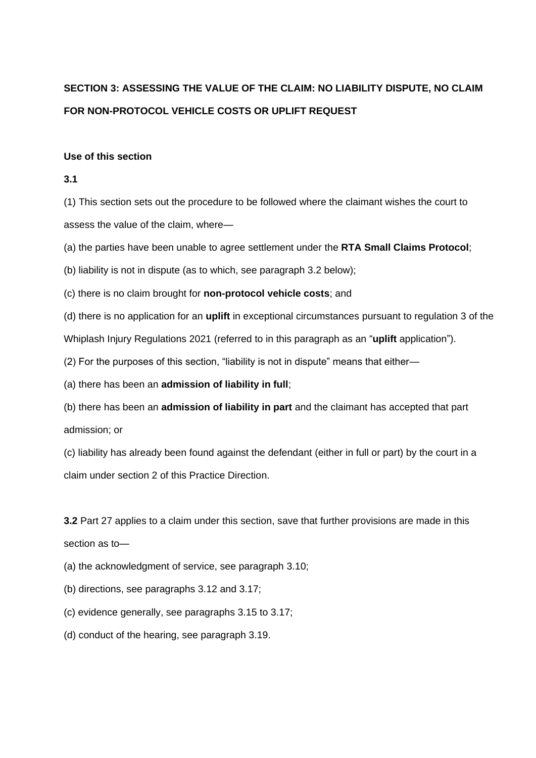# **SECTION 3: ASSESSING THE VALUE OF THE CLAIM: NO LIABILITY DISPUTE, NO CLAIM FOR NON-PROTOCOL VEHICLE COSTS OR UPLIFT REQUEST**

#### **Use of this section**

#### **3.1**

(1) This section sets out the procedure to be followed where the claimant wishes the court to assess the value of the claim, where—

(a) the parties have been unable to agree settlement under the **RTA Small Claims Protocol**;

(b) liability is not in dispute (as to which, see paragraph 3.2 below);

(c) there is no claim brought for **non-protocol vehicle costs**; and

(d) there is no application for an **uplift** in exceptional circumstances pursuant to regulation 3 of the

Whiplash Injury Regulations 2021 (referred to in this paragraph as an "**uplift** application").

(2) For the purposes of this section, "liability is not in dispute" means that either—

(a) there has been an **admission of liability in full**;

(b) there has been an **admission of liability in part** and the claimant has accepted that part admission; or

(c) liability has already been found against the defendant (either in full or part) by the court in a claim under section 2 of this Practice Direction.

**3.2** Part 27 applies to a claim under this section, save that further provisions are made in this section as to—

(a) the acknowledgment of service, see paragraph 3.10;

(b) directions, see paragraphs 3.12 and 3.17;

(c) evidence generally, see paragraphs 3.15 to 3.17;

(d) conduct of the hearing, see paragraph 3.19.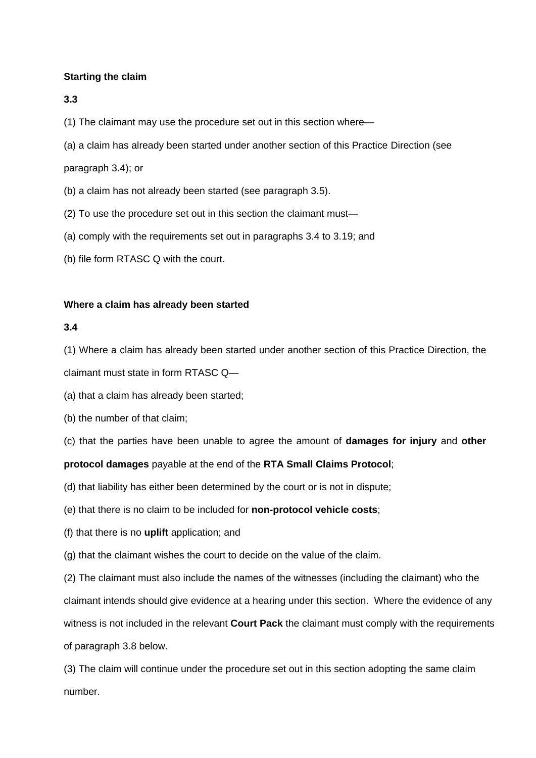# **Starting the claim**

# **3.3**

(1) The claimant may use the procedure set out in this section where—

(a) a claim has already been started under another section of this Practice Direction (see

# paragraph 3.4); or

- (b) a claim has not already been started (see paragraph 3.5).
- (2) To use the procedure set out in this section the claimant must—
- (a) comply with the requirements set out in paragraphs 3.4 to 3.19; and
- (b) file form RTASC Q with the court.

# **Where a claim has already been started**

# **3.4**

(1) Where a claim has already been started under another section of this Practice Direction, the

claimant must state in form RTASC Q—

(a) that a claim has already been started;

(b) the number of that claim;

(c) that the parties have been unable to agree the amount of **damages for injury** and **other** 

# **protocol damages** payable at the end of the **RTA Small Claims Protocol**;

- (d) that liability has either been determined by the court or is not in dispute;
- (e) that there is no claim to be included for **non-protocol vehicle costs**;
- (f) that there is no **uplift** application; and
- (g) that the claimant wishes the court to decide on the value of the claim.

(2) The claimant must also include the names of the witnesses (including the claimant) who the claimant intends should give evidence at a hearing under this section. Where the evidence of any witness is not included in the relevant **Court Pack** the claimant must comply with the requirements of paragraph 3.8 below.

(3) The claim will continue under the procedure set out in this section adopting the same claim number.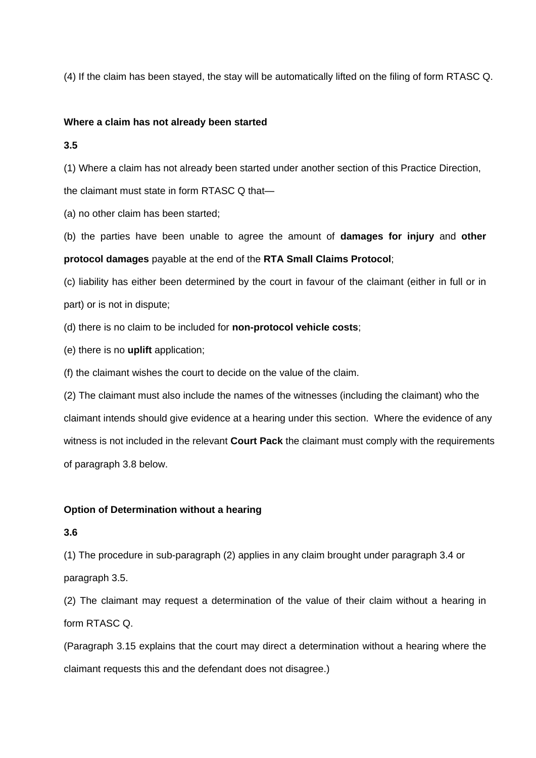(4) If the claim has been stayed, the stay will be automatically lifted on the filing of form RTASC Q.

#### **Where a claim has not already been started**

**3.5**

(1) Where a claim has not already been started under another section of this Practice Direction,

the claimant must state in form RTASC Q that—

(a) no other claim has been started;

(b) the parties have been unable to agree the amount of **damages for injury** and **other protocol damages** payable at the end of the **RTA Small Claims Protocol**;

(c) liability has either been determined by the court in favour of the claimant (either in full or in part) or is not in dispute;

(d) there is no claim to be included for **non-protocol vehicle costs**;

(e) there is no **uplift** application;

(f) the claimant wishes the court to decide on the value of the claim.

(2) The claimant must also include the names of the witnesses (including the claimant) who the claimant intends should give evidence at a hearing under this section. Where the evidence of any witness is not included in the relevant **Court Pack** the claimant must comply with the requirements of paragraph 3.8 below.

# **Option of Determination without a hearing**

**3.6**

(1) The procedure in sub-paragraph (2) applies in any claim brought under paragraph 3.4 or paragraph 3.5.

(2) The claimant may request a determination of the value of their claim without a hearing in form RTASC Q.

(Paragraph 3.15 explains that the court may direct a determination without a hearing where the claimant requests this and the defendant does not disagree.)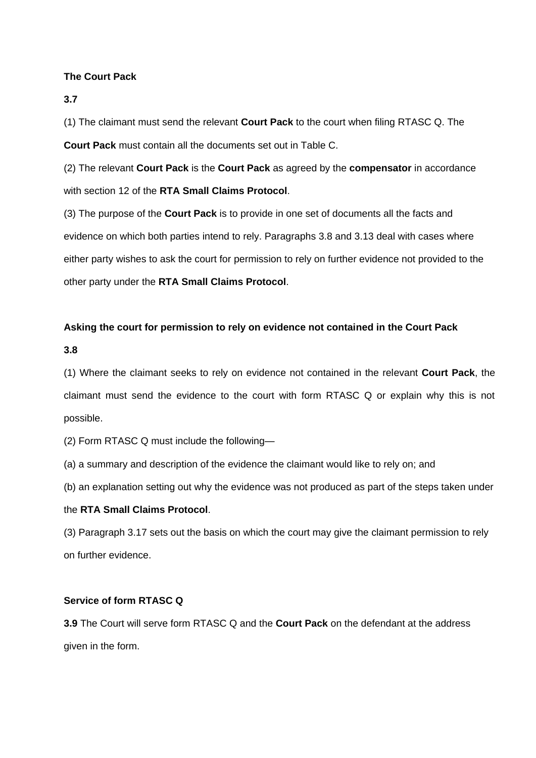# **The Court Pack**

**3.7**

(1) The claimant must send the relevant **Court Pack** to the court when filing RTASC Q. The **Court Pack** must contain all the documents set out in Table C.

(2) The relevant **Court Pack** is the **Court Pack** as agreed by the **compensator** in accordance with section 12 of the **RTA Small Claims Protocol**.

(3) The purpose of the **Court Pack** is to provide in one set of documents all the facts and evidence on which both parties intend to rely. Paragraphs 3.8 and 3.13 deal with cases where either party wishes to ask the court for permission to rely on further evidence not provided to the other party under the **RTA Small Claims Protocol**.

# **Asking the court for permission to rely on evidence not contained in the Court Pack**

**3.8**

(1) Where the claimant seeks to rely on evidence not contained in the relevant **Court Pack**, the claimant must send the evidence to the court with form RTASC Q or explain why this is not possible.

(2) Form RTASC Q must include the following—

(a) a summary and description of the evidence the claimant would like to rely on; and

(b) an explanation setting out why the evidence was not produced as part of the steps taken under

# the **RTA Small Claims Protocol**.

(3) Paragraph 3.17 sets out the basis on which the court may give the claimant permission to rely on further evidence.

# **Service of form RTASC Q**

**3.9** The Court will serve form RTASC Q and the **Court Pack** on the defendant at the address given in the form.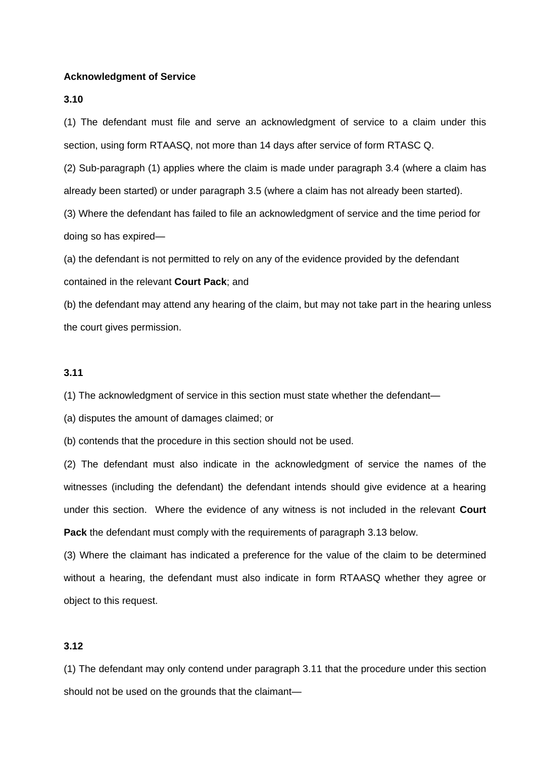#### **Acknowledgment of Service**

#### **3.10**

(1) The defendant must file and serve an acknowledgment of service to a claim under this section, using form RTAASQ, not more than 14 days after service of form RTASC Q.

(2) Sub-paragraph (1) applies where the claim is made under paragraph 3.4 (where a claim has already been started) or under paragraph 3.5 (where a claim has not already been started).

(3) Where the defendant has failed to file an acknowledgment of service and the time period for doing so has expired—

(a) the defendant is not permitted to rely on any of the evidence provided by the defendant contained in the relevant **Court Pack**; and

(b) the defendant may attend any hearing of the claim, but may not take part in the hearing unless the court gives permission.

# **3.11**

(1) The acknowledgment of service in this section must state whether the defendant—

(a) disputes the amount of damages claimed; or

(b) contends that the procedure in this section should not be used.

(2) The defendant must also indicate in the acknowledgment of service the names of the witnesses (including the defendant) the defendant intends should give evidence at a hearing under this section. Where the evidence of any witness is not included in the relevant **Court Pack** the defendant must comply with the requirements of paragraph 3.13 below.

(3) Where the claimant has indicated a preference for the value of the claim to be determined without a hearing, the defendant must also indicate in form RTAASQ whether they agree or object to this request.

#### **3.12**

(1) The defendant may only contend under paragraph 3.11 that the procedure under this section should not be used on the grounds that the claimant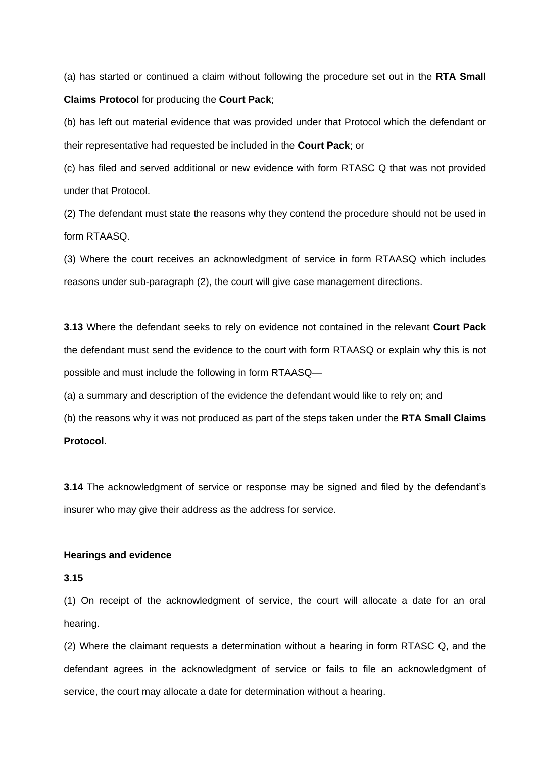(a) has started or continued a claim without following the procedure set out in the **RTA Small Claims Protocol** for producing the **Court Pack**;

(b) has left out material evidence that was provided under that Protocol which the defendant or their representative had requested be included in the **Court Pack**; or

(c) has filed and served additional or new evidence with form RTASC Q that was not provided under that Protocol.

(2) The defendant must state the reasons why they contend the procedure should not be used in form RTAASQ.

(3) Where the court receives an acknowledgment of service in form RTAASQ which includes reasons under sub-paragraph (2), the court will give case management directions.

**3.13** Where the defendant seeks to rely on evidence not contained in the relevant **Court Pack** the defendant must send the evidence to the court with form RTAASQ or explain why this is not possible and must include the following in form RTAASQ—

(a) a summary and description of the evidence the defendant would like to rely on; and

(b) the reasons why it was not produced as part of the steps taken under the **RTA Small Claims** 

# **Protocol**.

**3.14** The acknowledgment of service or response may be signed and filed by the defendant's insurer who may give their address as the address for service.

#### **Hearings and evidence**

# **3.15**

(1) On receipt of the acknowledgment of service, the court will allocate a date for an oral hearing.

(2) Where the claimant requests a determination without a hearing in form RTASC Q, and the defendant agrees in the acknowledgment of service or fails to file an acknowledgment of service, the court may allocate a date for determination without a hearing.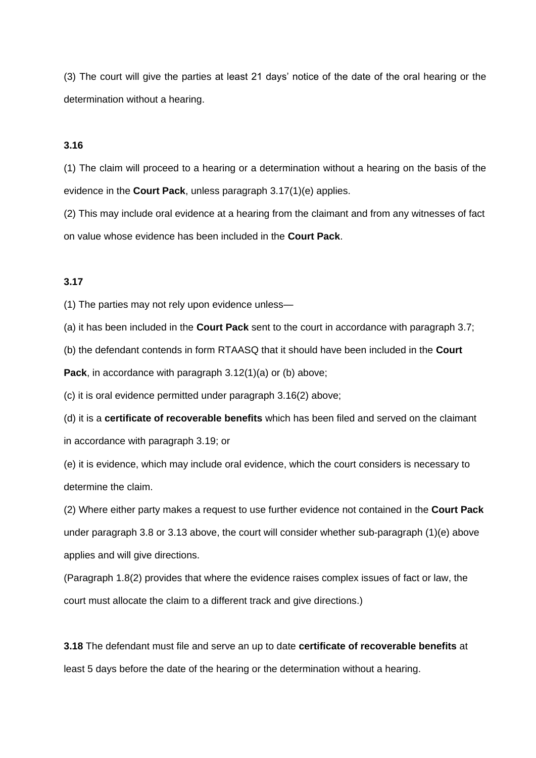(3) The court will give the parties at least 21 days' notice of the date of the oral hearing or the determination without a hearing.

#### **3.16**

(1) The claim will proceed to a hearing or a determination without a hearing on the basis of the evidence in the **Court Pack**, unless paragraph 3.17(1)(e) applies.

(2) This may include oral evidence at a hearing from the claimant and from any witnesses of fact on value whose evidence has been included in the **Court Pack**.

### **3.17**

(1) The parties may not rely upon evidence unless—

(a) it has been included in the **Court Pack** sent to the court in accordance with paragraph 3.7;

(b) the defendant contends in form RTAASQ that it should have been included in the **Court** 

**Pack**, in accordance with paragraph 3.12(1)(a) or (b) above;

(c) it is oral evidence permitted under paragraph 3.16(2) above;

(d) it is a **certificate of recoverable benefits** which has been filed and served on the claimant in accordance with paragraph 3.19; or

(e) it is evidence, which may include oral evidence, which the court considers is necessary to determine the claim.

(2) Where either party makes a request to use further evidence not contained in the **Court Pack** under paragraph 3.8 or 3.13 above, the court will consider whether sub-paragraph (1)(e) above applies and will give directions.

(Paragraph 1.8(2) provides that where the evidence raises complex issues of fact or law, the court must allocate the claim to a different track and give directions.)

**3.18** The defendant must file and serve an up to date **certificate of recoverable benefits** at least 5 days before the date of the hearing or the determination without a hearing.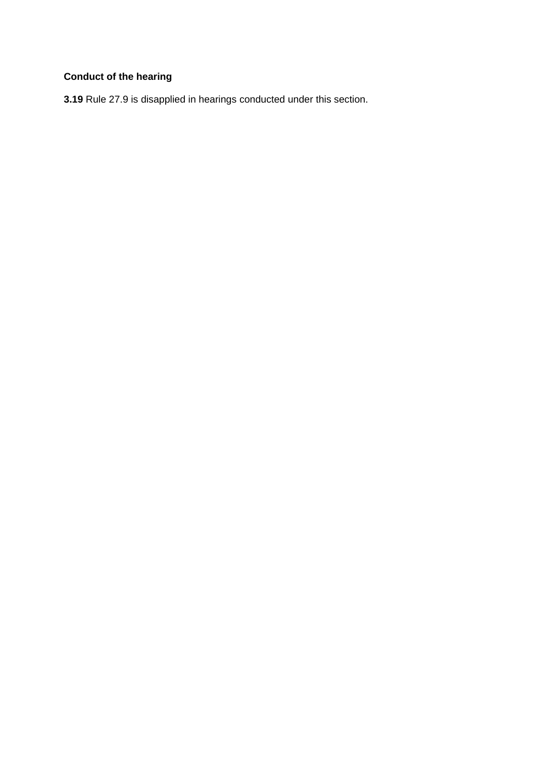# **Conduct of the hearing**

**3.19** Rule 27.9 is disapplied in hearings conducted under this section.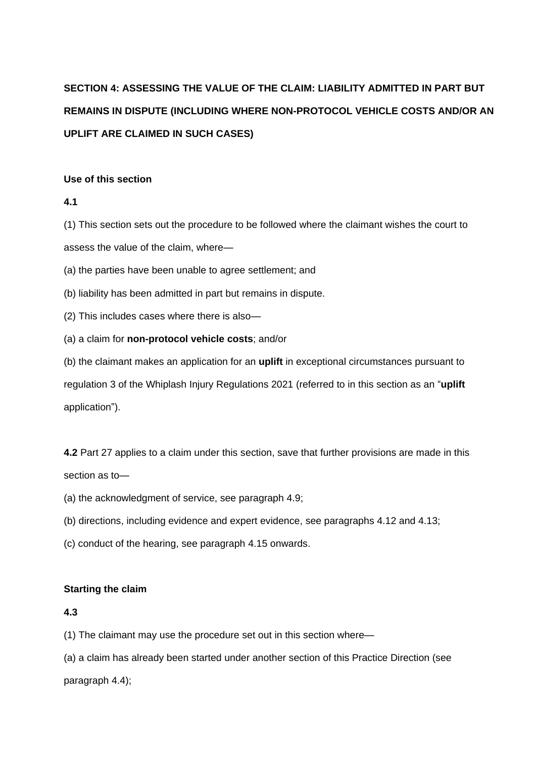# **SECTION 4: ASSESSING THE VALUE OF THE CLAIM: LIABILITY ADMITTED IN PART BUT REMAINS IN DISPUTE (INCLUDING WHERE NON-PROTOCOL VEHICLE COSTS AND/OR AN UPLIFT ARE CLAIMED IN SUCH CASES)**

#### **Use of this section**

# **4.1**

(1) This section sets out the procedure to be followed where the claimant wishes the court to assess the value of the claim, where—

(a) the parties have been unable to agree settlement; and

- (b) liability has been admitted in part but remains in dispute.
- (2) This includes cases where there is also—
- (a) a claim for **non-protocol vehicle costs**; and/or

(b) the claimant makes an application for an **uplift** in exceptional circumstances pursuant to regulation 3 of the Whiplash Injury Regulations 2021 (referred to in this section as an "**uplift** application").

**4.2** Part 27 applies to a claim under this section, save that further provisions are made in this section as to—

- (a) the acknowledgment of service, see paragraph 4.9;
- (b) directions, including evidence and expert evidence, see paragraphs 4.12 and 4.13;
- (c) conduct of the hearing, see paragraph 4.15 onwards.

# **Starting the claim**

# **4.3**

(1) The claimant may use the procedure set out in this section where—

(a) a claim has already been started under another section of this Practice Direction (see paragraph 4.4);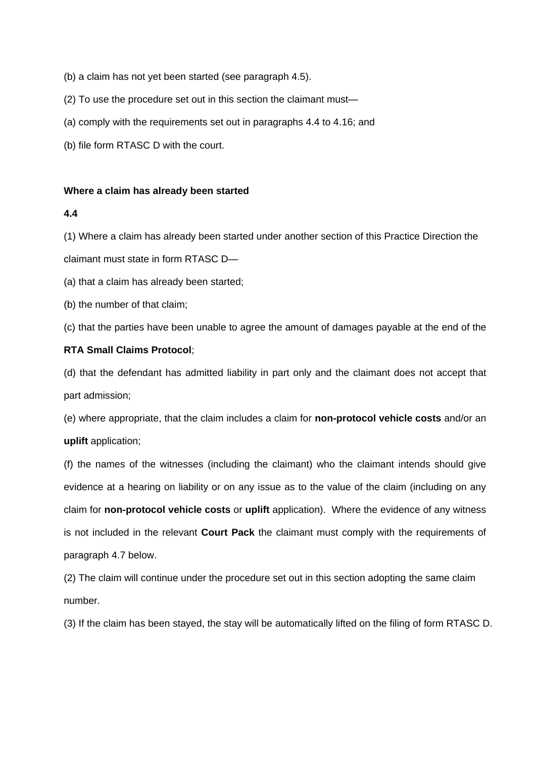- (b) a claim has not yet been started (see paragraph 4.5).
- (2) To use the procedure set out in this section the claimant must—
- (a) comply with the requirements set out in paragraphs 4.4 to 4.16; and
- (b) file form RTASC D with the court.

#### **Where a claim has already been started**

# **4.4**

(1) Where a claim has already been started under another section of this Practice Direction the

claimant must state in form RTASC D—

(a) that a claim has already been started;

(b) the number of that claim;

(c) that the parties have been unable to agree the amount of damages payable at the end of the

# **RTA Small Claims Protocol**;

(d) that the defendant has admitted liability in part only and the claimant does not accept that part admission;

(e) where appropriate, that the claim includes a claim for **non-protocol vehicle costs** and/or an **uplift** application;

(f) the names of the witnesses (including the claimant) who the claimant intends should give evidence at a hearing on liability or on any issue as to the value of the claim (including on any claim for **non-protocol vehicle costs** or **uplift** application). Where the evidence of any witness is not included in the relevant **Court Pack** the claimant must comply with the requirements of paragraph 4.7 below.

(2) The claim will continue under the procedure set out in this section adopting the same claim number.

(3) If the claim has been stayed, the stay will be automatically lifted on the filing of form RTASC D.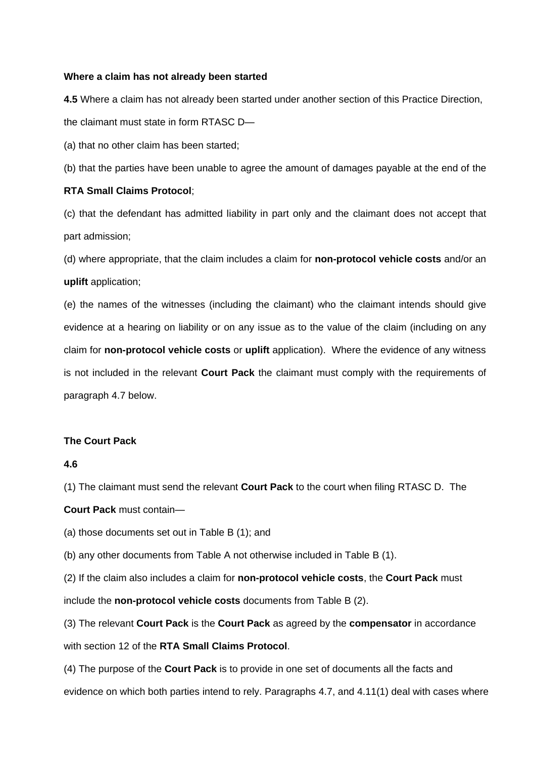#### **Where a claim has not already been started**

**4.5** Where a claim has not already been started under another section of this Practice Direction, the claimant must state in form RTASC D—

(a) that no other claim has been started;

(b) that the parties have been unable to agree the amount of damages payable at the end of the

#### **RTA Small Claims Protocol**;

(c) that the defendant has admitted liability in part only and the claimant does not accept that part admission;

(d) where appropriate, that the claim includes a claim for **non-protocol vehicle costs** and/or an **uplift** application;

(e) the names of the witnesses (including the claimant) who the claimant intends should give evidence at a hearing on liability or on any issue as to the value of the claim (including on any claim for **non-protocol vehicle costs** or **uplift** application). Where the evidence of any witness is not included in the relevant **Court Pack** the claimant must comply with the requirements of paragraph 4.7 below.

# **The Court Pack**

#### **4.6**

(1) The claimant must send the relevant **Court Pack** to the court when filing RTASC D. The

**Court Pack** must contain—

(a) those documents set out in Table B (1); and

(b) any other documents from Table A not otherwise included in Table B (1).

(2) If the claim also includes a claim for **non-protocol vehicle costs**, the **Court Pack** must include the **non-protocol vehicle costs** documents from Table B (2).

(3) The relevant **Court Pack** is the **Court Pack** as agreed by the **compensator** in accordance with section 12 of the **RTA Small Claims Protocol**.

(4) The purpose of the **Court Pack** is to provide in one set of documents all the facts and evidence on which both parties intend to rely. Paragraphs 4.7, and 4.11(1) deal with cases where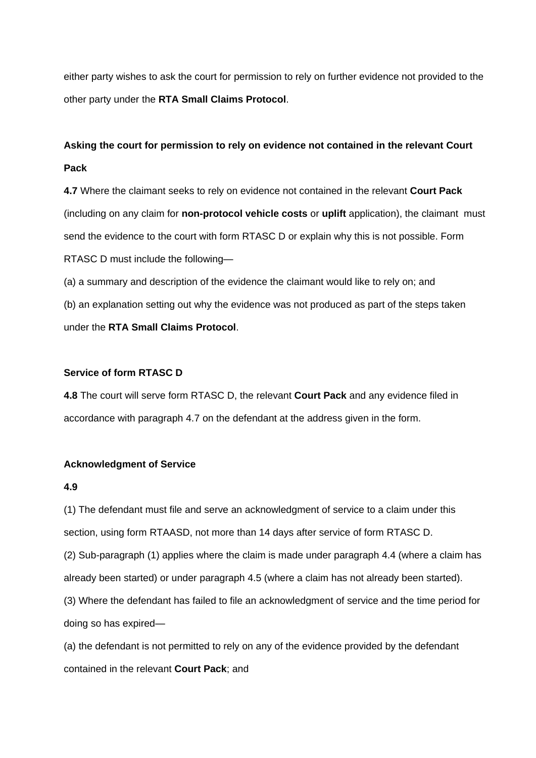either party wishes to ask the court for permission to rely on further evidence not provided to the other party under the **RTA Small Claims Protocol**.

# **Asking the court for permission to rely on evidence not contained in the relevant Court Pack**

**4.7** Where the claimant seeks to rely on evidence not contained in the relevant **Court Pack** (including on any claim for **non-protocol vehicle costs** or **uplift** application), the claimant must send the evidence to the court with form RTASC D or explain why this is not possible. Form RTASC D must include the following—

(a) a summary and description of the evidence the claimant would like to rely on; and (b) an explanation setting out why the evidence was not produced as part of the steps taken under the **RTA Small Claims Protocol**.

# **Service of form RTASC D**

**4.8** The court will serve form RTASC D, the relevant **Court Pack** and any evidence filed in accordance with paragraph 4.7 on the defendant at the address given in the form.

#### **Acknowledgment of Service**

#### **4.9**

(1) The defendant must file and serve an acknowledgment of service to a claim under this section, using form RTAASD, not more than 14 days after service of form RTASC D.

(2) Sub-paragraph (1) applies where the claim is made under paragraph 4.4 (where a claim has already been started) or under paragraph 4.5 (where a claim has not already been started).

(3) Where the defendant has failed to file an acknowledgment of service and the time period for doing so has expired—

(a) the defendant is not permitted to rely on any of the evidence provided by the defendant contained in the relevant **Court Pack**; and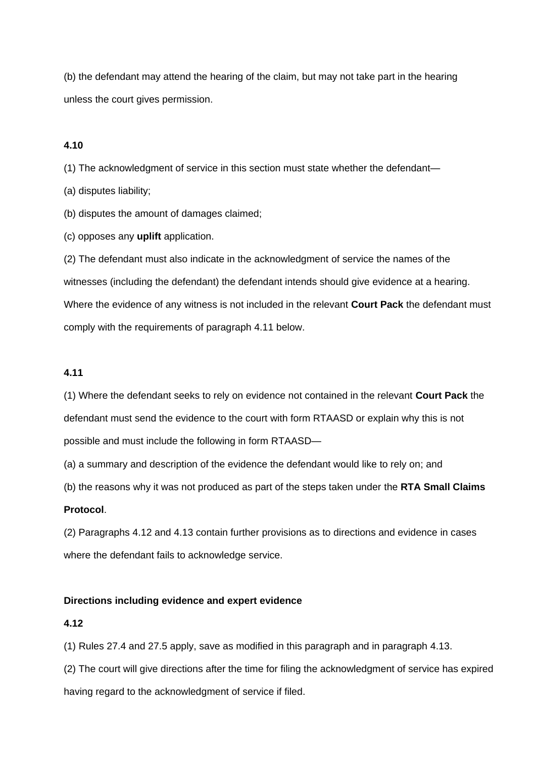(b) the defendant may attend the hearing of the claim, but may not take part in the hearing unless the court gives permission.

# **4.10**

(1) The acknowledgment of service in this section must state whether the defendant—

(a) disputes liability;

(b) disputes the amount of damages claimed;

(c) opposes any **uplift** application.

(2) The defendant must also indicate in the acknowledgment of service the names of the witnesses (including the defendant) the defendant intends should give evidence at a hearing. Where the evidence of any witness is not included in the relevant **Court Pack** the defendant must comply with the requirements of paragraph 4.11 below.

# **4.11**

(1) Where the defendant seeks to rely on evidence not contained in the relevant **Court Pack** the defendant must send the evidence to the court with form RTAASD or explain why this is not possible and must include the following in form RTAASD—

(a) a summary and description of the evidence the defendant would like to rely on; and

(b) the reasons why it was not produced as part of the steps taken under the **RTA Small Claims** 

# **Protocol**.

(2) Paragraphs 4.12 and 4.13 contain further provisions as to directions and evidence in cases where the defendant fails to acknowledge service.

#### **Directions including evidence and expert evidence**

#### **4.12**

(1) Rules 27.4 and 27.5 apply, save as modified in this paragraph and in paragraph 4.13.

(2) The court will give directions after the time for filing the acknowledgment of service has expired having regard to the acknowledgment of service if filed.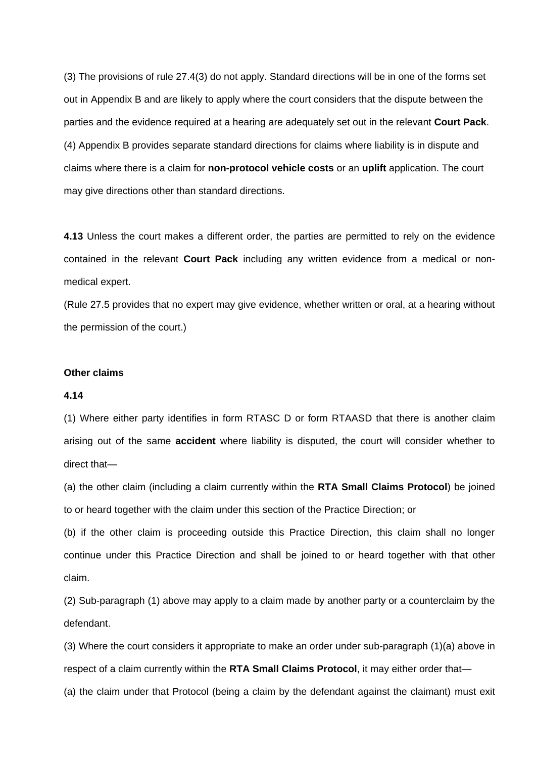(3) The provisions of rule 27.4(3) do not apply. Standard directions will be in one of the forms set out in Appendix B and are likely to apply where the court considers that the dispute between the parties and the evidence required at a hearing are adequately set out in the relevant **Court Pack**. (4) Appendix B provides separate standard directions for claims where liability is in dispute and claims where there is a claim for **non-protocol vehicle costs** or an **uplift** application. The court may give directions other than standard directions.

**4.13** Unless the court makes a different order, the parties are permitted to rely on the evidence contained in the relevant **Court Pack** including any written evidence from a medical or nonmedical expert.

(Rule 27.5 provides that no expert may give evidence, whether written or oral, at a hearing without the permission of the court.)

#### **Other claims**

#### **4.14**

(1) Where either party identifies in form RTASC D or form RTAASD that there is another claim arising out of the same **accident** where liability is disputed, the court will consider whether to direct that—

(a) the other claim (including a claim currently within the **RTA Small Claims Protocol**) be joined to or heard together with the claim under this section of the Practice Direction; or

(b) if the other claim is proceeding outside this Practice Direction, this claim shall no longer continue under this Practice Direction and shall be joined to or heard together with that other claim.

(2) Sub-paragraph (1) above may apply to a claim made by another party or a counterclaim by the defendant.

(3) Where the court considers it appropriate to make an order under sub-paragraph (1)(a) above in respect of a claim currently within the **RTA Small Claims Protocol**, it may either order that—

(a) the claim under that Protocol (being a claim by the defendant against the claimant) must exit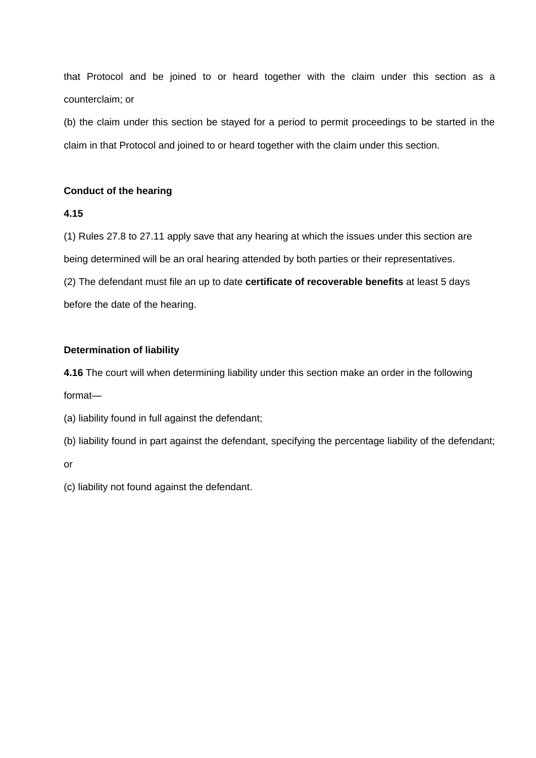that Protocol and be joined to or heard together with the claim under this section as a counterclaim; or

(b) the claim under this section be stayed for a period to permit proceedings to be started in the claim in that Protocol and joined to or heard together with the claim under this section.

# **Conduct of the hearing**

# **4.15**

(1) Rules 27.8 to 27.11 apply save that any hearing at which the issues under this section are being determined will be an oral hearing attended by both parties or their representatives.

(2) The defendant must file an up to date **certificate of recoverable benefits** at least 5 days before the date of the hearing.

# **Determination of liability**

**4.16** The court will when determining liability under this section make an order in the following format—

(a) liability found in full against the defendant;

(b) liability found in part against the defendant, specifying the percentage liability of the defendant;

or

(c) liability not found against the defendant.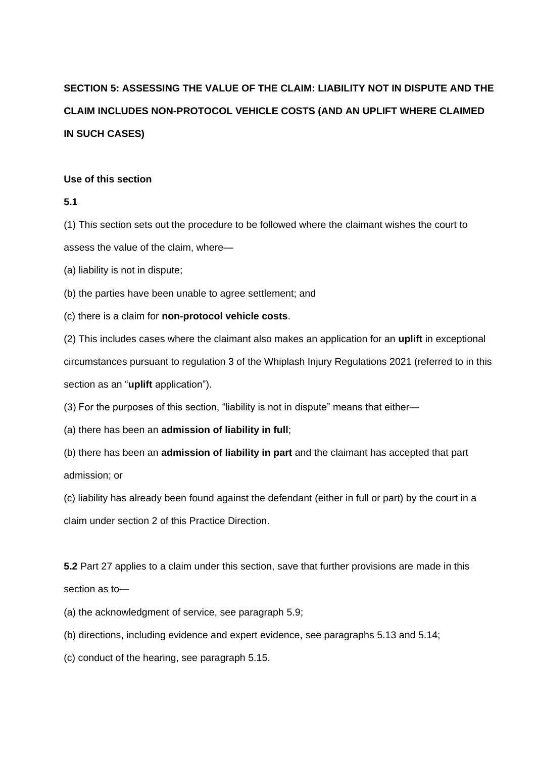# **SECTION 5: ASSESSING THE VALUE OF THE CLAIM: LIABILITY NOT IN DISPUTE AND THE CLAIM INCLUDES NON-PROTOCOL VEHICLE COSTS (AND AN UPLIFT WHERE CLAIMED IN SUCH CASES)**

#### **Use of this section**

**5.1**

(1) This section sets out the procedure to be followed where the claimant wishes the court to assess the value of the claim, where—

(a) liability is not in dispute;

(b) the parties have been unable to agree settlement; and

(c) there is a claim for **non-protocol vehicle costs**.

(2) This includes cases where the claimant also makes an application for an **uplift** in exceptional circumstances pursuant to regulation 3 of the Whiplash Injury Regulations 2021 (referred to in this section as an "**uplift** application").

(3) For the purposes of this section, "liability is not in dispute" means that either—

(a) there has been an **admission of liability in full**;

(b) there has been an **admission of liability in part** and the claimant has accepted that part admission; or

(c) liability has already been found against the defendant (either in full or part) by the court in a claim under section 2 of this Practice Direction.

**5.2** Part 27 applies to a claim under this section, save that further provisions are made in this section as to—

(a) the acknowledgment of service, see paragraph 5.9;

(b) directions, including evidence and expert evidence, see paragraphs 5.13 and 5.14;

(c) conduct of the hearing, see paragraph 5.15.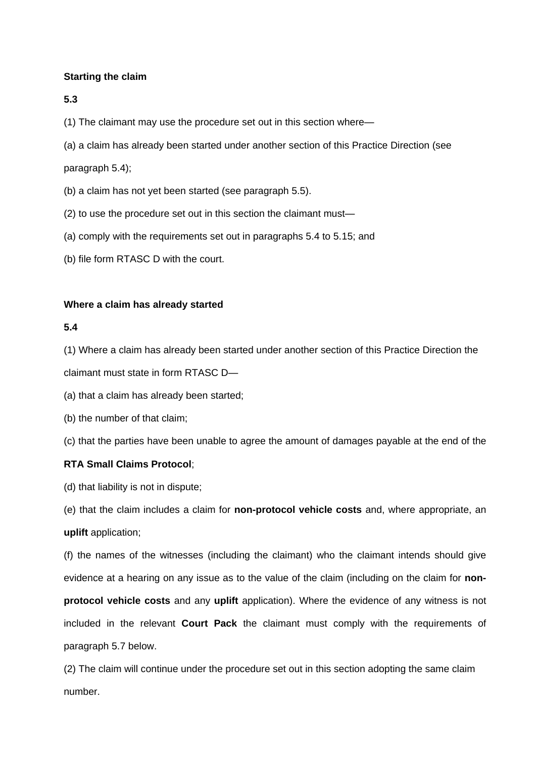## **Starting the claim**

#### **5.3**

(1) The claimant may use the procedure set out in this section where—

(a) a claim has already been started under another section of this Practice Direction (see

paragraph 5.4);

- (b) a claim has not yet been started (see paragraph 5.5).
- (2) to use the procedure set out in this section the claimant must—
- (a) comply with the requirements set out in paragraphs 5.4 to 5.15; and
- (b) file form RTASC D with the court.

#### **Where a claim has already started**

#### **5.4**

(1) Where a claim has already been started under another section of this Practice Direction the

claimant must state in form RTASC D—

(a) that a claim has already been started;

(b) the number of that claim;

(c) that the parties have been unable to agree the amount of damages payable at the end of the

## **RTA Small Claims Protocol**;

(d) that liability is not in dispute;

(e) that the claim includes a claim for **non-protocol vehicle costs** and, where appropriate, an **uplift** application;

(f) the names of the witnesses (including the claimant) who the claimant intends should give evidence at a hearing on any issue as to the value of the claim (including on the claim for **nonprotocol vehicle costs** and any **uplift** application). Where the evidence of any witness is not included in the relevant **Court Pack** the claimant must comply with the requirements of paragraph 5.7 below.

(2) The claim will continue under the procedure set out in this section adopting the same claim number.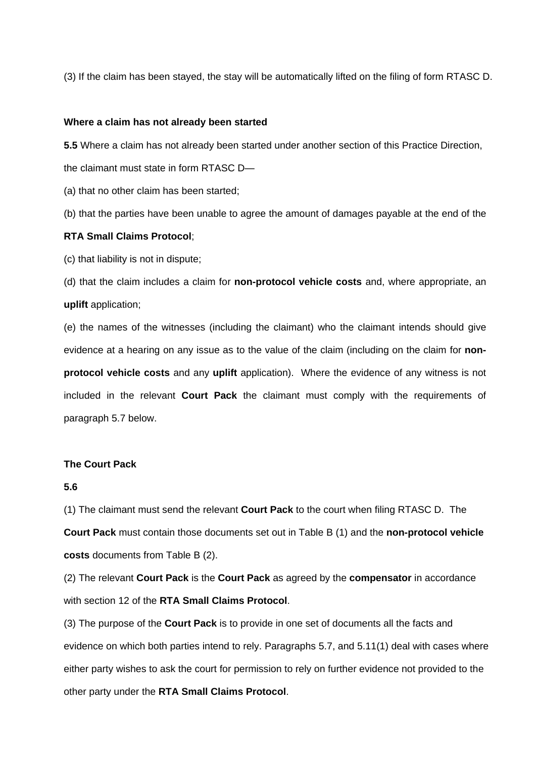(3) If the claim has been stayed, the stay will be automatically lifted on the filing of form RTASC D.

#### **Where a claim has not already been started**

**5.5** Where a claim has not already been started under another section of this Practice Direction,

the claimant must state in form RTASC D—

(a) that no other claim has been started;

(b) that the parties have been unable to agree the amount of damages payable at the end of the

#### **RTA Small Claims Protocol**;

(c) that liability is not in dispute;

(d) that the claim includes a claim for **non-protocol vehicle costs** and, where appropriate, an **uplift** application;

(e) the names of the witnesses (including the claimant) who the claimant intends should give evidence at a hearing on any issue as to the value of the claim (including on the claim for **nonprotocol vehicle costs** and any **uplift** application). Where the evidence of any witness is not included in the relevant **Court Pack** the claimant must comply with the requirements of paragraph 5.7 below.

#### **The Court Pack**

#### **5.6**

(1) The claimant must send the relevant **Court Pack** to the court when filing RTASC D. The **Court Pack** must contain those documents set out in Table B (1) and the **non-protocol vehicle costs** documents from Table B (2).

(2) The relevant **Court Pack** is the **Court Pack** as agreed by the **compensator** in accordance with section 12 of the **RTA Small Claims Protocol**.

(3) The purpose of the **Court Pack** is to provide in one set of documents all the facts and evidence on which both parties intend to rely. Paragraphs 5.7, and 5.11(1) deal with cases where either party wishes to ask the court for permission to rely on further evidence not provided to the other party under the **RTA Small Claims Protocol**.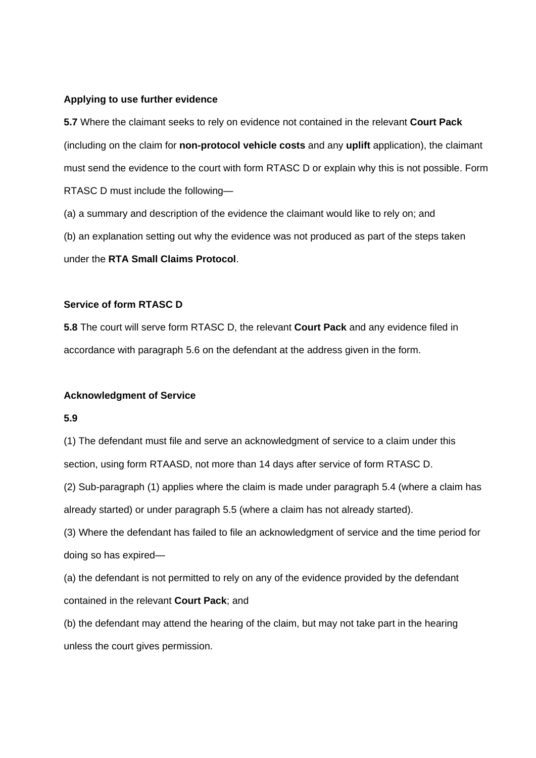#### **Applying to use further evidence**

**5.7** Where the claimant seeks to rely on evidence not contained in the relevant **Court Pack** (including on the claim for **non-protocol vehicle costs** and any **uplift** application), the claimant must send the evidence to the court with form RTASC D or explain why this is not possible. Form RTASC D must include the following—

(a) a summary and description of the evidence the claimant would like to rely on; and

(b) an explanation setting out why the evidence was not produced as part of the steps taken

under the **RTA Small Claims Protocol**.

#### **Service of form RTASC D**

**5.8** The court will serve form RTASC D, the relevant **Court Pack** and any evidence filed in accordance with paragraph 5.6 on the defendant at the address given in the form.

## **Acknowledgment of Service**

## **5.9**

(1) The defendant must file and serve an acknowledgment of service to a claim under this section, using form RTAASD, not more than 14 days after service of form RTASC D.

(2) Sub-paragraph (1) applies where the claim is made under paragraph 5.4 (where a claim has already started) or under paragraph 5.5 (where a claim has not already started).

(3) Where the defendant has failed to file an acknowledgment of service and the time period for doing so has expired—

(a) the defendant is not permitted to rely on any of the evidence provided by the defendant contained in the relevant **Court Pack**; and

(b) the defendant may attend the hearing of the claim, but may not take part in the hearing unless the court gives permission.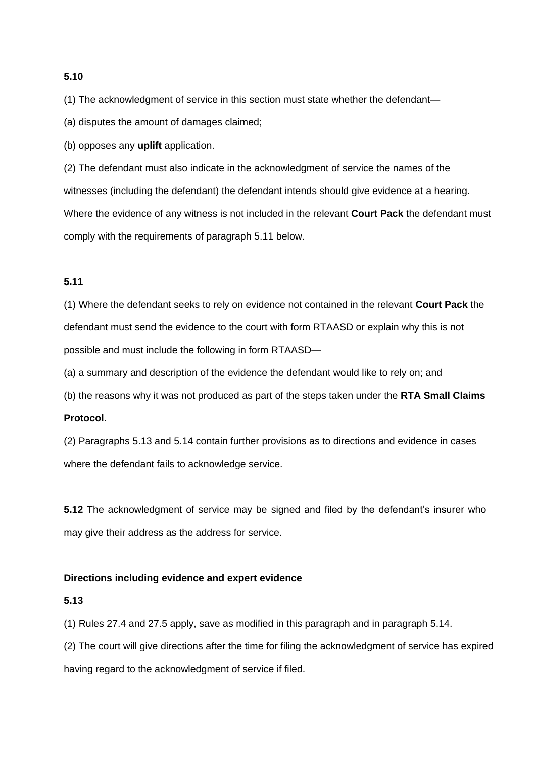## **5.10**

(1) The acknowledgment of service in this section must state whether the defendant—

(a) disputes the amount of damages claimed;

(b) opposes any **uplift** application.

(2) The defendant must also indicate in the acknowledgment of service the names of the witnesses (including the defendant) the defendant intends should give evidence at a hearing. Where the evidence of any witness is not included in the relevant **Court Pack** the defendant must comply with the requirements of paragraph 5.11 below.

#### **5.11**

(1) Where the defendant seeks to rely on evidence not contained in the relevant **Court Pack** the defendant must send the evidence to the court with form RTAASD or explain why this is not possible and must include the following in form RTAASD—

(a) a summary and description of the evidence the defendant would like to rely on; and

(b) the reasons why it was not produced as part of the steps taken under the **RTA Small Claims** 

## **Protocol**.

(2) Paragraphs 5.13 and 5.14 contain further provisions as to directions and evidence in cases where the defendant fails to acknowledge service.

**5.12** The acknowledgment of service may be signed and filed by the defendant's insurer who may give their address as the address for service.

#### **Directions including evidence and expert evidence**

#### **5.13**

(1) Rules 27.4 and 27.5 apply, save as modified in this paragraph and in paragraph 5.14.

(2) The court will give directions after the time for filing the acknowledgment of service has expired having regard to the acknowledgment of service if filed.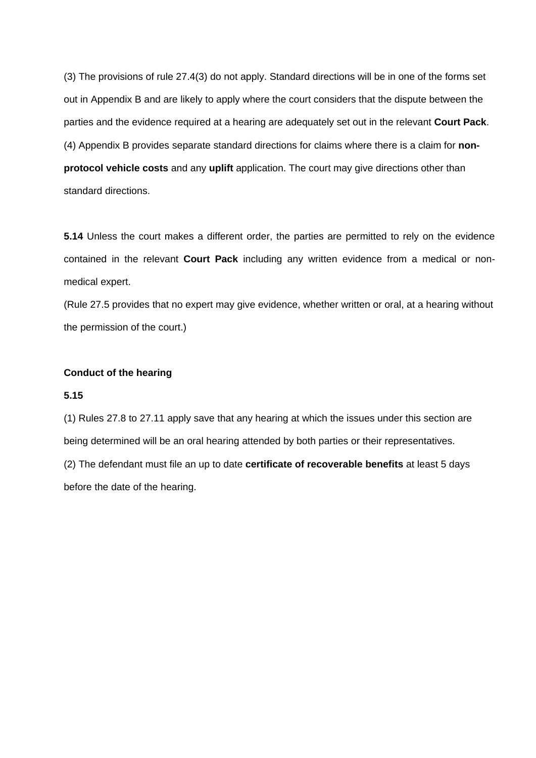(3) The provisions of rule 27.4(3) do not apply. Standard directions will be in one of the forms set out in Appendix B and are likely to apply where the court considers that the dispute between the parties and the evidence required at a hearing are adequately set out in the relevant **Court Pack**. (4) Appendix B provides separate standard directions for claims where there is a claim for **nonprotocol vehicle costs** and any **uplift** application. The court may give directions other than standard directions.

**5.14** Unless the court makes a different order, the parties are permitted to rely on the evidence contained in the relevant **Court Pack** including any written evidence from a medical or nonmedical expert.

(Rule 27.5 provides that no expert may give evidence, whether written or oral, at a hearing without the permission of the court.)

#### **Conduct of the hearing**

#### **5.15**

(1) Rules 27.8 to 27.11 apply save that any hearing at which the issues under this section are being determined will be an oral hearing attended by both parties or their representatives. (2) The defendant must file an up to date **certificate of recoverable benefits** at least 5 days before the date of the hearing.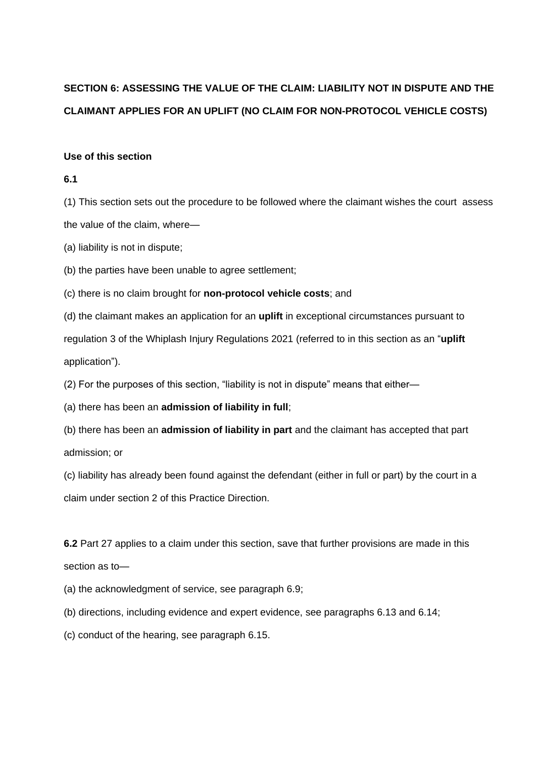## **SECTION 6: ASSESSING THE VALUE OF THE CLAIM: LIABILITY NOT IN DISPUTE AND THE CLAIMANT APPLIES FOR AN UPLIFT (NO CLAIM FOR NON-PROTOCOL VEHICLE COSTS)**

#### **Use of this section**

#### **6.1**

(1) This section sets out the procedure to be followed where the claimant wishes the court assess the value of the claim, where—

(a) liability is not in dispute;

(b) the parties have been unable to agree settlement;

(c) there is no claim brought for **non-protocol vehicle costs**; and

(d) the claimant makes an application for an **uplift** in exceptional circumstances pursuant to regulation 3 of the Whiplash Injury Regulations 2021 (referred to in this section as an "**uplift** application").

(2) For the purposes of this section, "liability is not in dispute" means that either—

(a) there has been an **admission of liability in full**;

(b) there has been an **admission of liability in part** and the claimant has accepted that part admission; or

(c) liability has already been found against the defendant (either in full or part) by the court in a claim under section 2 of this Practice Direction.

**6.2** Part 27 applies to a claim under this section, save that further provisions are made in this section as to—

(a) the acknowledgment of service, see paragraph 6.9;

(b) directions, including evidence and expert evidence, see paragraphs 6.13 and 6.14;

(c) conduct of the hearing, see paragraph 6.15.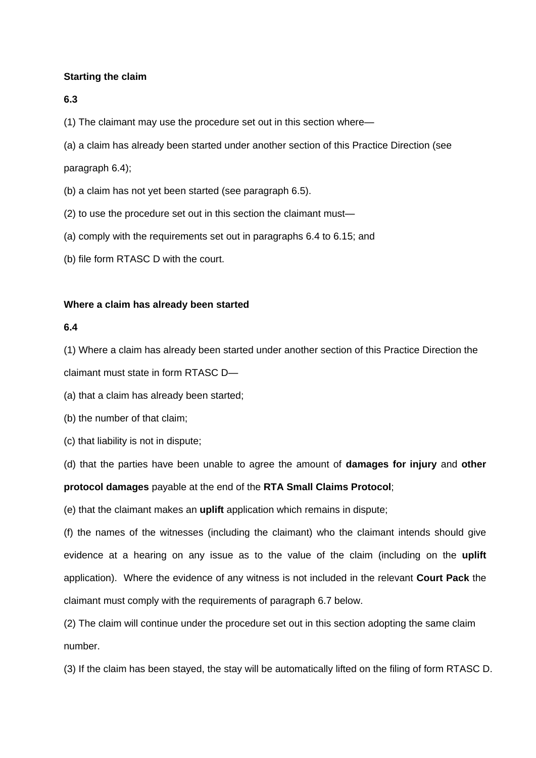## **Starting the claim**

#### **6.3**

(1) The claimant may use the procedure set out in this section where—

(a) a claim has already been started under another section of this Practice Direction (see

paragraph 6.4);

- (b) a claim has not yet been started (see paragraph 6.5).
- (2) to use the procedure set out in this section the claimant must—
- (a) comply with the requirements set out in paragraphs 6.4 to 6.15; and
- (b) file form RTASC D with the court.

#### **Where a claim has already been started**

#### **6.4**

(1) Where a claim has already been started under another section of this Practice Direction the

claimant must state in form RTASC D—

(a) that a claim has already been started;

(b) the number of that claim;

(c) that liability is not in dispute;

(d) that the parties have been unable to agree the amount of **damages for injury** and **other protocol damages** payable at the end of the **RTA Small Claims Protocol**;

(e) that the claimant makes an **uplift** application which remains in dispute;

(f) the names of the witnesses (including the claimant) who the claimant intends should give evidence at a hearing on any issue as to the value of the claim (including on the **uplift** application). Where the evidence of any witness is not included in the relevant **Court Pack** the claimant must comply with the requirements of paragraph 6.7 below.

(2) The claim will continue under the procedure set out in this section adopting the same claim number.

(3) If the claim has been stayed, the stay will be automatically lifted on the filing of form RTASC D.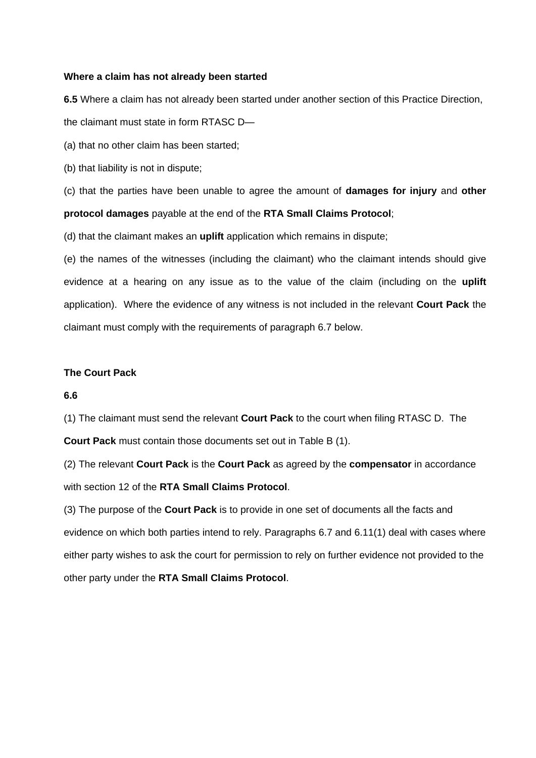#### **Where a claim has not already been started**

**6.5** Where a claim has not already been started under another section of this Practice Direction, the claimant must state in form RTASC D—

(a) that no other claim has been started;

(b) that liability is not in dispute;

(c) that the parties have been unable to agree the amount of **damages for injury** and **other protocol damages** payable at the end of the **RTA Small Claims Protocol**;

(d) that the claimant makes an **uplift** application which remains in dispute;

(e) the names of the witnesses (including the claimant) who the claimant intends should give evidence at a hearing on any issue as to the value of the claim (including on the **uplift** application). Where the evidence of any witness is not included in the relevant **Court Pack** the claimant must comply with the requirements of paragraph 6.7 below.

#### **The Court Pack**

#### **6.6**

(1) The claimant must send the relevant **Court Pack** to the court when filing RTASC D. The

**Court Pack** must contain those documents set out in Table B (1).

(2) The relevant **Court Pack** is the **Court Pack** as agreed by the **compensator** in accordance with section 12 of the **RTA Small Claims Protocol**.

(3) The purpose of the **Court Pack** is to provide in one set of documents all the facts and evidence on which both parties intend to rely. Paragraphs 6.7 and 6.11(1) deal with cases where either party wishes to ask the court for permission to rely on further evidence not provided to the other party under the **RTA Small Claims Protocol**.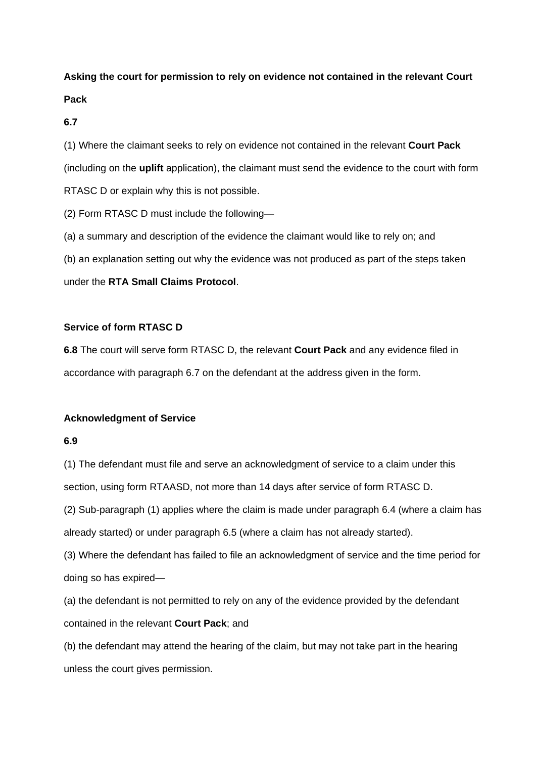## **Asking the court for permission to rely on evidence not contained in the relevant Court Pack**

**6.7**

(1) Where the claimant seeks to rely on evidence not contained in the relevant **Court Pack** (including on the **uplift** application), the claimant must send the evidence to the court with form RTASC D or explain why this is not possible.

(2) Form RTASC D must include the following—

(a) a summary and description of the evidence the claimant would like to rely on; and

(b) an explanation setting out why the evidence was not produced as part of the steps taken

under the **RTA Small Claims Protocol**.

## **Service of form RTASC D**

**6.8** The court will serve form RTASC D, the relevant **Court Pack** and any evidence filed in accordance with paragraph 6.7 on the defendant at the address given in the form.

## **Acknowledgment of Service**

## **6.9**

(1) The defendant must file and serve an acknowledgment of service to a claim under this section, using form RTAASD, not more than 14 days after service of form RTASC D.

(2) Sub-paragraph (1) applies where the claim is made under paragraph 6.4 (where a claim has already started) or under paragraph 6.5 (where a claim has not already started).

(3) Where the defendant has failed to file an acknowledgment of service and the time period for doing so has expired—

(a) the defendant is not permitted to rely on any of the evidence provided by the defendant contained in the relevant **Court Pack**; and

(b) the defendant may attend the hearing of the claim, but may not take part in the hearing unless the court gives permission.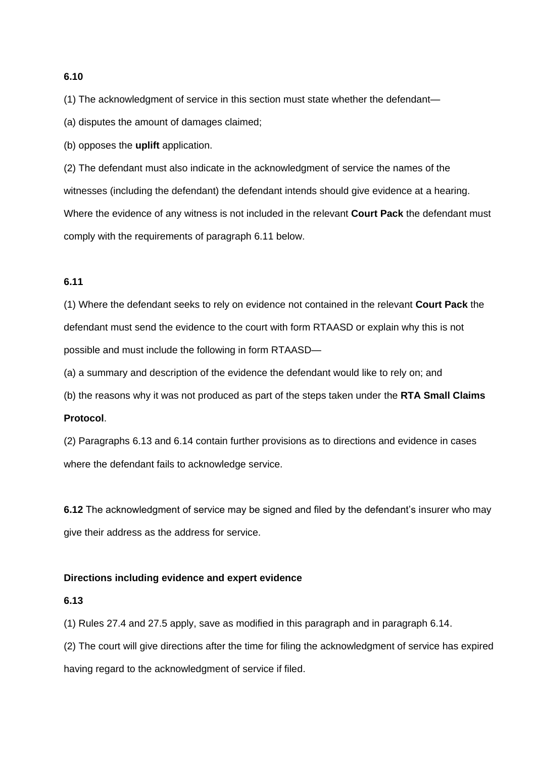## **6.10**

(1) The acknowledgment of service in this section must state whether the defendant—

(a) disputes the amount of damages claimed;

(b) opposes the **uplift** application.

(2) The defendant must also indicate in the acknowledgment of service the names of the witnesses (including the defendant) the defendant intends should give evidence at a hearing. Where the evidence of any witness is not included in the relevant **Court Pack** the defendant must comply with the requirements of paragraph 6.11 below.

## **6.11**

(1) Where the defendant seeks to rely on evidence not contained in the relevant **Court Pack** the defendant must send the evidence to the court with form RTAASD or explain why this is not possible and must include the following in form RTAASD—

(a) a summary and description of the evidence the defendant would like to rely on; and

(b) the reasons why it was not produced as part of the steps taken under the **RTA Small Claims** 

## **Protocol**.

(2) Paragraphs 6.13 and 6.14 contain further provisions as to directions and evidence in cases where the defendant fails to acknowledge service.

**6.12** The acknowledgment of service may be signed and filed by the defendant's insurer who may give their address as the address for service.

#### **Directions including evidence and expert evidence**

#### **6.13**

(1) Rules 27.4 and 27.5 apply, save as modified in this paragraph and in paragraph 6.14.

(2) The court will give directions after the time for filing the acknowledgment of service has expired having regard to the acknowledgment of service if filed.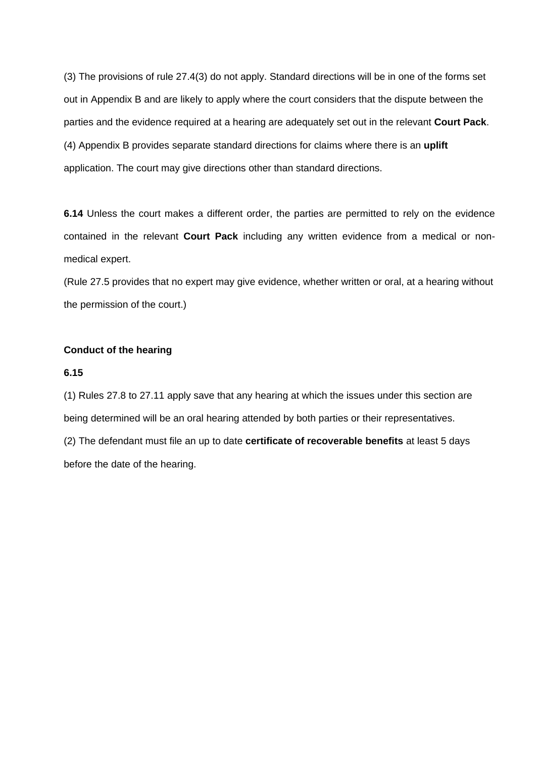(3) The provisions of rule 27.4(3) do not apply. Standard directions will be in one of the forms set out in Appendix B and are likely to apply where the court considers that the dispute between the parties and the evidence required at a hearing are adequately set out in the relevant **Court Pack**. (4) Appendix B provides separate standard directions for claims where there is an **uplift** application. The court may give directions other than standard directions.

**6.14** Unless the court makes a different order, the parties are permitted to rely on the evidence contained in the relevant **Court Pack** including any written evidence from a medical or nonmedical expert.

(Rule 27.5 provides that no expert may give evidence, whether written or oral, at a hearing without the permission of the court.)

## **Conduct of the hearing**

## **6.15**

(1) Rules 27.8 to 27.11 apply save that any hearing at which the issues under this section are being determined will be an oral hearing attended by both parties or their representatives.

(2) The defendant must file an up to date **certificate of recoverable benefits** at least 5 days before the date of the hearing.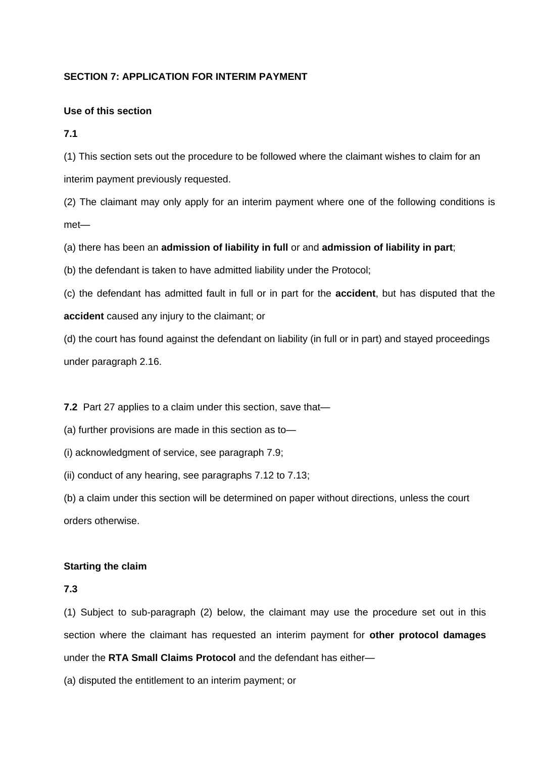## **SECTION 7: APPLICATION FOR INTERIM PAYMENT**

## **Use of this section**

**7.1**

(1) This section sets out the procedure to be followed where the claimant wishes to claim for an interim payment previously requested.

(2) The claimant may only apply for an interim payment where one of the following conditions is met—

(a) there has been an **admission of liability in full** or and **admission of liability in part**;

(b) the defendant is taken to have admitted liability under the Protocol;

(c) the defendant has admitted fault in full or in part for the **accident**, but has disputed that the **accident** caused any injury to the claimant; or

(d) the court has found against the defendant on liability (in full or in part) and stayed proceedings under paragraph 2.16.

**7.2** Part 27 applies to a claim under this section, save that—

(a) further provisions are made in this section as to—

(i) acknowledgment of service, see paragraph 7.9;

(ii) conduct of any hearing, see paragraphs 7.12 to 7.13;

(b) a claim under this section will be determined on paper without directions, unless the court orders otherwise.

## **Starting the claim**

## **7.3**

(1) Subject to sub-paragraph (2) below, the claimant may use the procedure set out in this section where the claimant has requested an interim payment for **other protocol damages** under the **RTA Small Claims Protocol** and the defendant has either—

(a) disputed the entitlement to an interim payment; or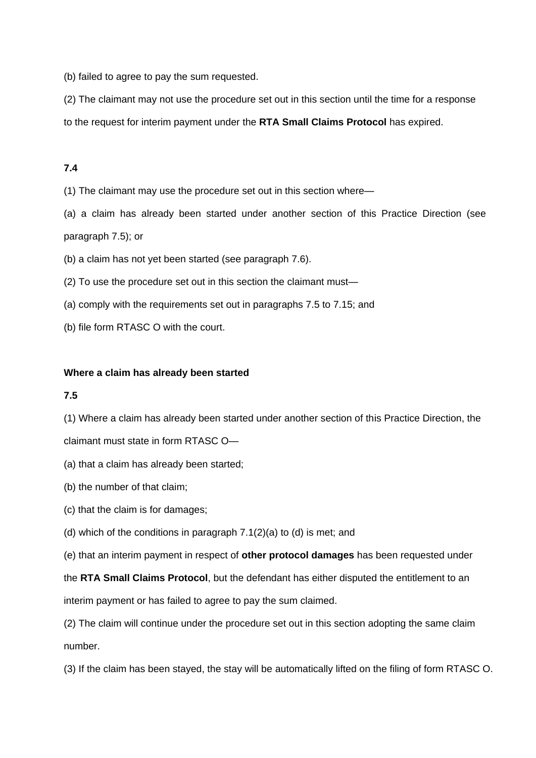(b) failed to agree to pay the sum requested.

(2) The claimant may not use the procedure set out in this section until the time for a response

to the request for interim payment under the **RTA Small Claims Protocol** has expired.

## **7.4**

(1) The claimant may use the procedure set out in this section where—

(a) a claim has already been started under another section of this Practice Direction (see paragraph 7.5); or

(b) a claim has not yet been started (see paragraph 7.6).

(2) To use the procedure set out in this section the claimant must—

- (a) comply with the requirements set out in paragraphs 7.5 to 7.15; and
- (b) file form RTASC O with the court.

#### **Where a claim has already been started**

#### **7.5**

(1) Where a claim has already been started under another section of this Practice Direction, the

claimant must state in form RTASC O—

- (a) that a claim has already been started;
- (b) the number of that claim;
- (c) that the claim is for damages;
- (d) which of the conditions in paragraph 7.1(2)(a) to (d) is met; and

(e) that an interim payment in respect of **other protocol damages** has been requested under

the **RTA Small Claims Protocol**, but the defendant has either disputed the entitlement to an

interim payment or has failed to agree to pay the sum claimed.

(2) The claim will continue under the procedure set out in this section adopting the same claim number.

(3) If the claim has been stayed, the stay will be automatically lifted on the filing of form RTASC O.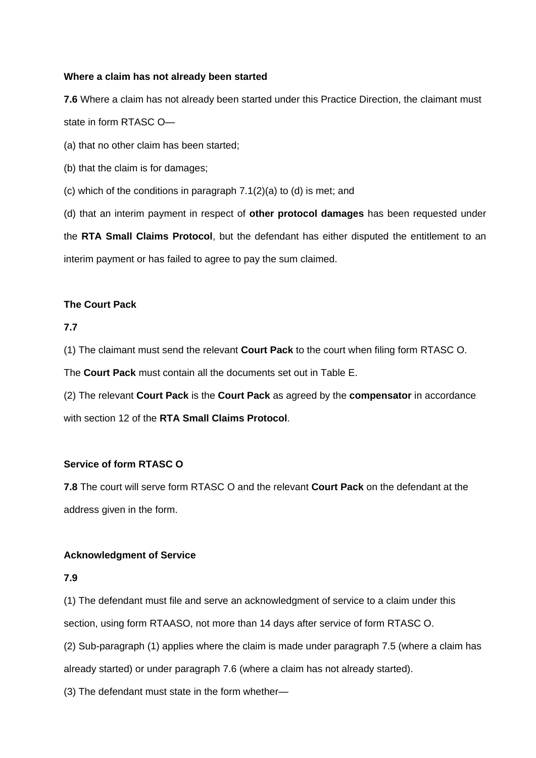## **Where a claim has not already been started**

**7.6** Where a claim has not already been started under this Practice Direction, the claimant must state in form RTASC O—

(a) that no other claim has been started;

(b) that the claim is for damages;

(c) which of the conditions in paragraph 7.1(2)(a) to (d) is met; and

(d) that an interim payment in respect of **other protocol damages** has been requested under the **RTA Small Claims Protocol**, but the defendant has either disputed the entitlement to an interim payment or has failed to agree to pay the sum claimed.

## **The Court Pack**

## **7.7**

(1) The claimant must send the relevant **Court Pack** to the court when filing form RTASC O.

The **Court Pack** must contain all the documents set out in Table E.

(2) The relevant **Court Pack** is the **Court Pack** as agreed by the **compensator** in accordance with section 12 of the **RTA Small Claims Protocol**.

#### **Service of form RTASC O**

**7.8** The court will serve form RTASC O and the relevant **Court Pack** on the defendant at the address given in the form.

#### **Acknowledgment of Service**

## **7.9**

(1) The defendant must file and serve an acknowledgment of service to a claim under this section, using form RTAASO, not more than 14 days after service of form RTASC O.

(2) Sub-paragraph (1) applies where the claim is made under paragraph 7.5 (where a claim has already started) or under paragraph 7.6 (where a claim has not already started).

(3) The defendant must state in the form whether—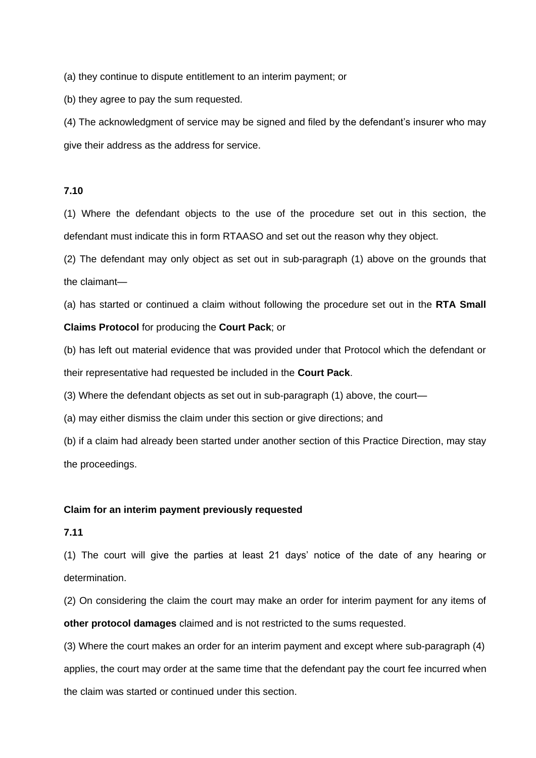(a) they continue to dispute entitlement to an interim payment; or

(b) they agree to pay the sum requested.

(4) The acknowledgment of service may be signed and filed by the defendant's insurer who may give their address as the address for service.

#### **7.10**

(1) Where the defendant objects to the use of the procedure set out in this section, the defendant must indicate this in form RTAASO and set out the reason why they object.

(2) The defendant may only object as set out in sub-paragraph (1) above on the grounds that the claimant—

(a) has started or continued a claim without following the procedure set out in the **RTA Small Claims Protocol** for producing the **Court Pack**; or

(b) has left out material evidence that was provided under that Protocol which the defendant or their representative had requested be included in the **Court Pack**.

(3) Where the defendant objects as set out in sub-paragraph (1) above, the court—

(a) may either dismiss the claim under this section or give directions; and

(b) if a claim had already been started under another section of this Practice Direction, may stay the proceedings.

#### **Claim for an interim payment previously requested**

## **7.11**

(1) The court will give the parties at least 21 days' notice of the date of any hearing or determination.

(2) On considering the claim the court may make an order for interim payment for any items of **other protocol damages** claimed and is not restricted to the sums requested.

(3) Where the court makes an order for an interim payment and except where sub-paragraph (4) applies, the court may order at the same time that the defendant pay the court fee incurred when the claim was started or continued under this section.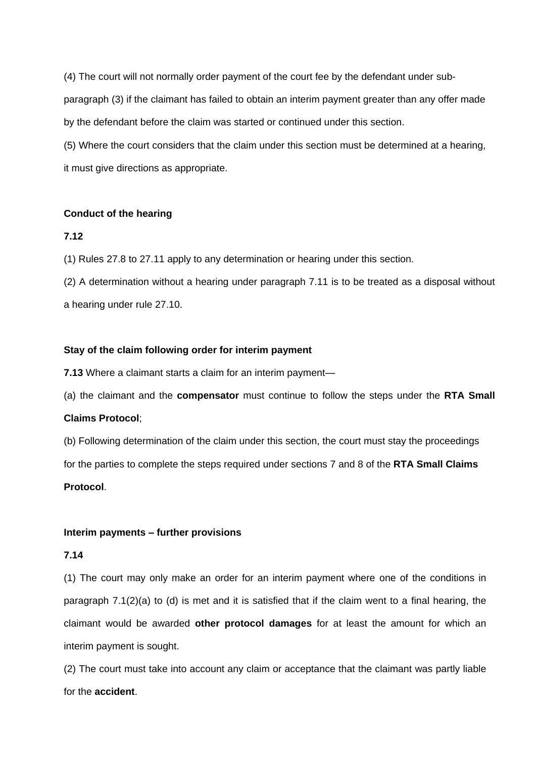(4) The court will not normally order payment of the court fee by the defendant under subparagraph (3) if the claimant has failed to obtain an interim payment greater than any offer made by the defendant before the claim was started or continued under this section.

(5) Where the court considers that the claim under this section must be determined at a hearing, it must give directions as appropriate.

#### **Conduct of the hearing**

#### **7.12**

(1) Rules 27.8 to 27.11 apply to any determination or hearing under this section.

(2) A determination without a hearing under paragraph 7.11 is to be treated as a disposal without a hearing under rule 27.10.

#### **Stay of the claim following order for interim payment**

**7.13** Where a claimant starts a claim for an interim payment—

(a) the claimant and the **compensator** must continue to follow the steps under the **RTA Small** 

#### **Claims Protocol**;

(b) Following determination of the claim under this section, the court must stay the proceedings for the parties to complete the steps required under sections 7 and 8 of the **RTA Small Claims Protocol**.

#### **Interim payments – further provisions**

#### **7.14**

(1) The court may only make an order for an interim payment where one of the conditions in paragraph 7.1(2)(a) to (d) is met and it is satisfied that if the claim went to a final hearing, the claimant would be awarded **other protocol damages** for at least the amount for which an interim payment is sought.

(2) The court must take into account any claim or acceptance that the claimant was partly liable for the **accident**.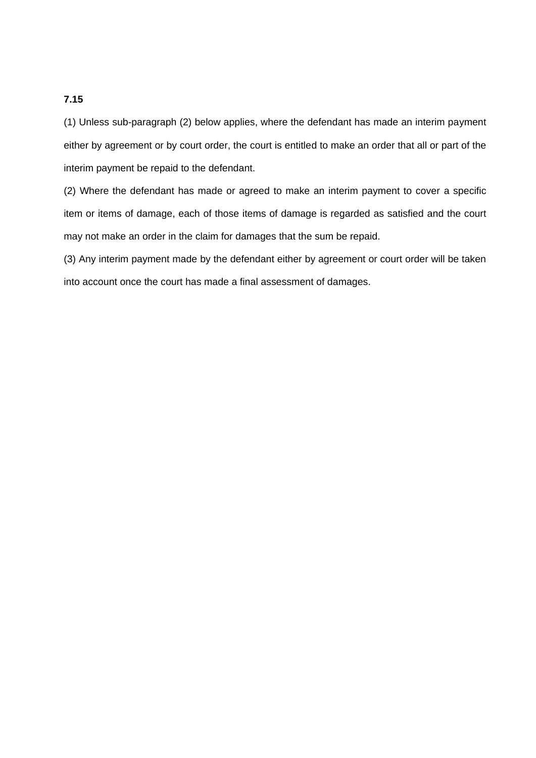## **7.15**

(1) Unless sub-paragraph (2) below applies, where the defendant has made an interim payment either by agreement or by court order, the court is entitled to make an order that all or part of the interim payment be repaid to the defendant.

(2) Where the defendant has made or agreed to make an interim payment to cover a specific item or items of damage, each of those items of damage is regarded as satisfied and the court may not make an order in the claim for damages that the sum be repaid.

(3) Any interim payment made by the defendant either by agreement or court order will be taken into account once the court has made a final assessment of damages.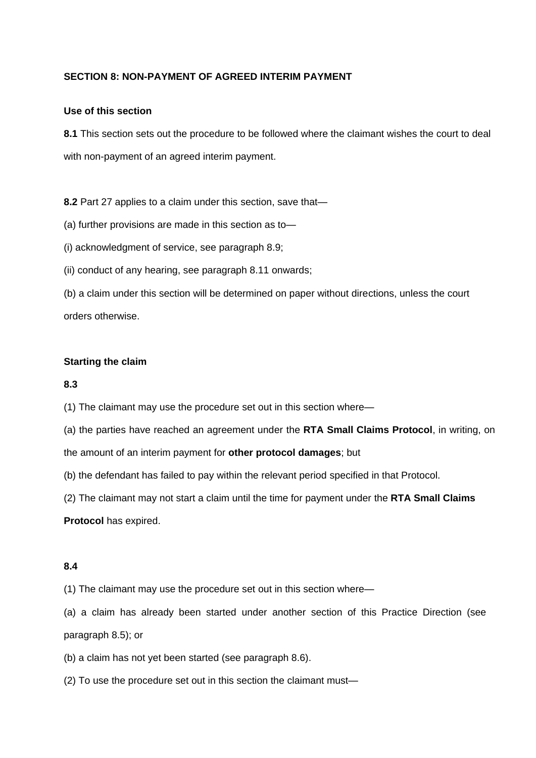## **SECTION 8: NON-PAYMENT OF AGREED INTERIM PAYMENT**

## **Use of this section**

**8.1** This section sets out the procedure to be followed where the claimant wishes the court to deal with non-payment of an agreed interim payment.

**8.2** Part 27 applies to a claim under this section, save that—

(a) further provisions are made in this section as to—

(i) acknowledgment of service, see paragraph 8.9;

(ii) conduct of any hearing, see paragraph 8.11 onwards;

(b) a claim under this section will be determined on paper without directions, unless the court orders otherwise.

#### **Starting the claim**

#### **8.3**

(1) The claimant may use the procedure set out in this section where—

(a) the parties have reached an agreement under the **RTA Small Claims Protocol**, in writing, on

the amount of an interim payment for **other protocol damages**; but

(b) the defendant has failed to pay within the relevant period specified in that Protocol.

(2) The claimant may not start a claim until the time for payment under the **RTA Small Claims** 

**Protocol** has expired.

#### **8.4**

(1) The claimant may use the procedure set out in this section where—

(a) a claim has already been started under another section of this Practice Direction (see paragraph 8.5); or

(b) a claim has not yet been started (see paragraph 8.6).

(2) To use the procedure set out in this section the claimant must—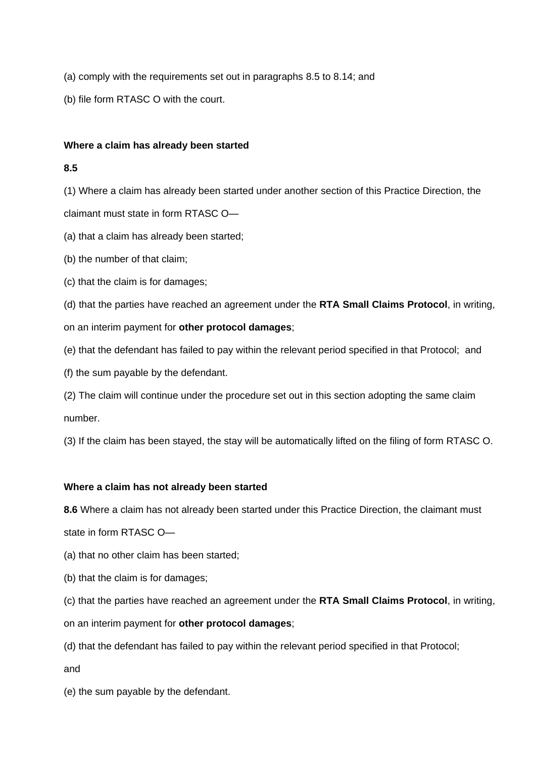- (a) comply with the requirements set out in paragraphs 8.5 to 8.14; and
- (b) file form RTASC O with the court.

## **Where a claim has already been started**

## **8.5**

(1) Where a claim has already been started under another section of this Practice Direction, the claimant must state in form RTASC O—

- (a) that a claim has already been started;
- (b) the number of that claim;
- (c) that the claim is for damages;

(d) that the parties have reached an agreement under the **RTA Small Claims Protocol**, in writing, on an interim payment for **other protocol damages**;

- (e) that the defendant has failed to pay within the relevant period specified in that Protocol; and
- (f) the sum payable by the defendant.

(2) The claim will continue under the procedure set out in this section adopting the same claim number.

(3) If the claim has been stayed, the stay will be automatically lifted on the filing of form RTASC O.

## **Where a claim has not already been started**

**8.6** Where a claim has not already been started under this Practice Direction, the claimant must

state in form RTASC O—

- (a) that no other claim has been started;
- (b) that the claim is for damages;
- (c) that the parties have reached an agreement under the **RTA Small Claims Protocol**, in writing,
- on an interim payment for **other protocol damages**;
- (d) that the defendant has failed to pay within the relevant period specified in that Protocol;

and

(e) the sum payable by the defendant.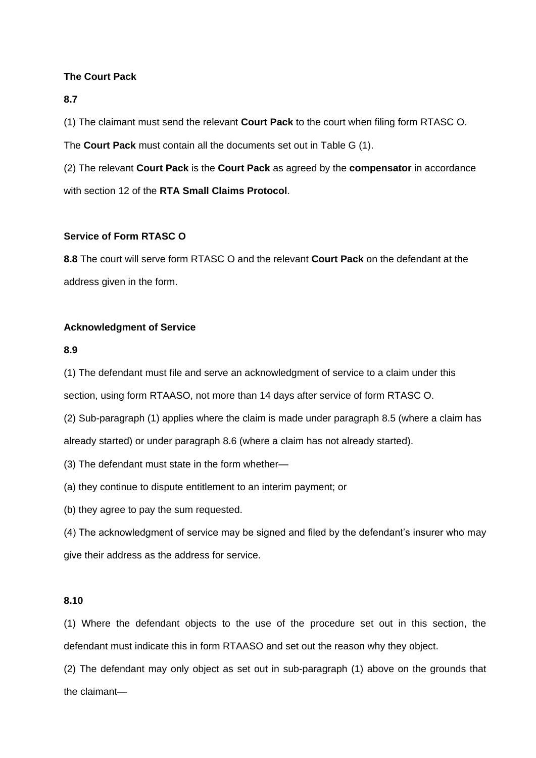## **The Court Pack**

#### **8.7**

(1) The claimant must send the relevant **Court Pack** to the court when filing form RTASC O.

The **Court Pack** must contain all the documents set out in Table G (1).

(2) The relevant **Court Pack** is the **Court Pack** as agreed by the **compensator** in accordance with section 12 of the **RTA Small Claims Protocol**.

## **Service of Form RTASC O**

**8.8** The court will serve form RTASC O and the relevant **Court Pack** on the defendant at the address given in the form.

#### **Acknowledgment of Service**

#### **8.9**

(1) The defendant must file and serve an acknowledgment of service to a claim under this

section, using form RTAASO, not more than 14 days after service of form RTASC O.

(2) Sub-paragraph (1) applies where the claim is made under paragraph 8.5 (where a claim has already started) or under paragraph 8.6 (where a claim has not already started).

(3) The defendant must state in the form whether—

(a) they continue to dispute entitlement to an interim payment; or

(b) they agree to pay the sum requested.

(4) The acknowledgment of service may be signed and filed by the defendant's insurer who may give their address as the address for service.

#### **8.10**

(1) Where the defendant objects to the use of the procedure set out in this section, the defendant must indicate this in form RTAASO and set out the reason why they object.

(2) The defendant may only object as set out in sub-paragraph (1) above on the grounds that the claimant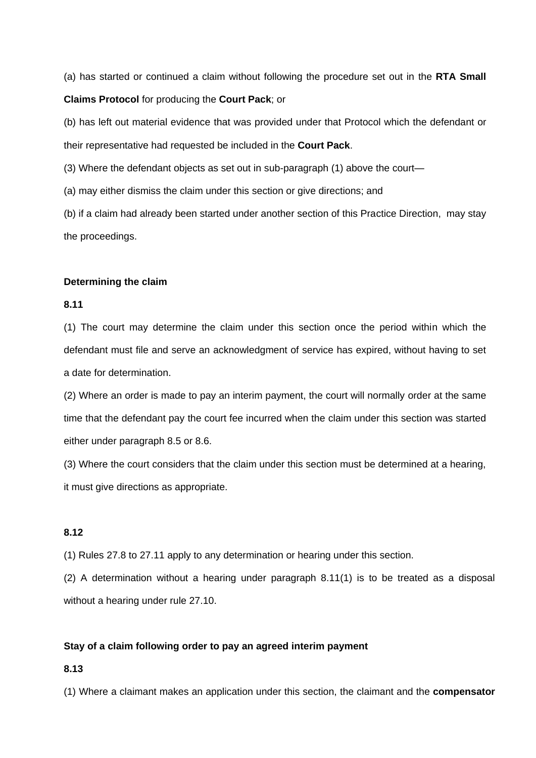(a) has started or continued a claim without following the procedure set out in the **RTA Small Claims Protocol** for producing the **Court Pack**; or

(b) has left out material evidence that was provided under that Protocol which the defendant or their representative had requested be included in the **Court Pack**.

(3) Where the defendant objects as set out in sub-paragraph (1) above the court—

(a) may either dismiss the claim under this section or give directions; and

(b) if a claim had already been started under another section of this Practice Direction, may stay the proceedings.

#### **Determining the claim**

#### **8.11**

(1) The court may determine the claim under this section once the period within which the defendant must file and serve an acknowledgment of service has expired, without having to set a date for determination.

(2) Where an order is made to pay an interim payment, the court will normally order at the same time that the defendant pay the court fee incurred when the claim under this section was started either under paragraph 8.5 or 8.6.

(3) Where the court considers that the claim under this section must be determined at a hearing, it must give directions as appropriate.

## **8.12**

(1) Rules 27.8 to 27.11 apply to any determination or hearing under this section.

(2) A determination without a hearing under paragraph 8.11(1) is to be treated as a disposal without a hearing under rule 27.10.

#### **Stay of a claim following order to pay an agreed interim payment**

## **8.13**

(1) Where a claimant makes an application under this section, the claimant and the **compensator**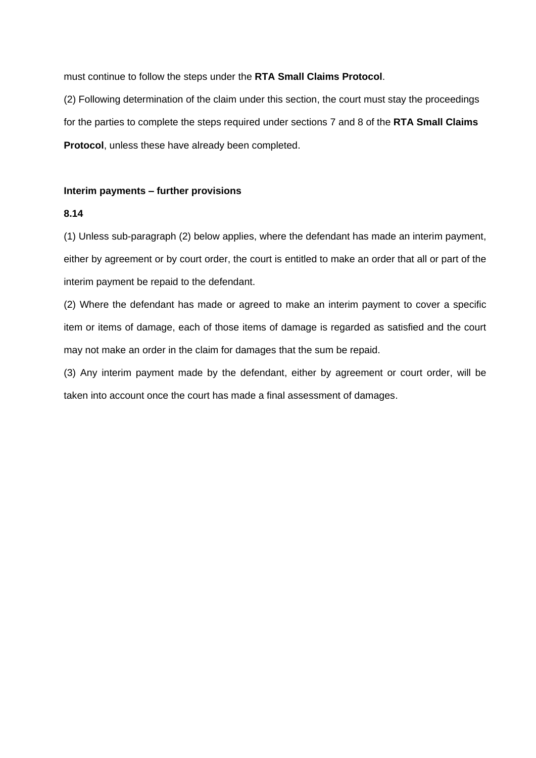must continue to follow the steps under the **RTA Small Claims Protocol**.

(2) Following determination of the claim under this section, the court must stay the proceedings for the parties to complete the steps required under sections 7 and 8 of the **RTA Small Claims Protocol**, unless these have already been completed.

#### **Interim payments – further provisions**

## **8.14**

(1) Unless sub-paragraph (2) below applies, where the defendant has made an interim payment, either by agreement or by court order, the court is entitled to make an order that all or part of the interim payment be repaid to the defendant.

(2) Where the defendant has made or agreed to make an interim payment to cover a specific item or items of damage, each of those items of damage is regarded as satisfied and the court may not make an order in the claim for damages that the sum be repaid.

(3) Any interim payment made by the defendant, either by agreement or court order, will be taken into account once the court has made a final assessment of damages.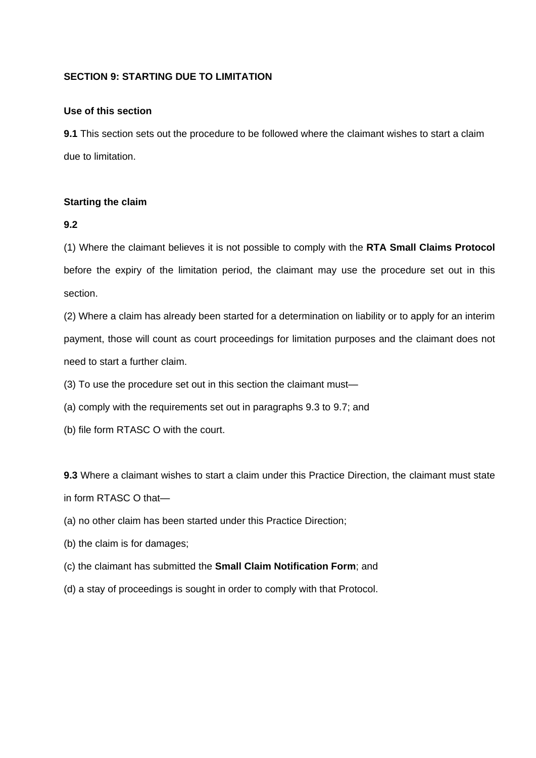## **SECTION 9: STARTING DUE TO LIMITATION**

#### **Use of this section**

**9.1** This section sets out the procedure to be followed where the claimant wishes to start a claim due to limitation.

## **Starting the claim**

#### **9.2**

(1) Where the claimant believes it is not possible to comply with the **RTA Small Claims Protocol** before the expiry of the limitation period, the claimant may use the procedure set out in this section.

(2) Where a claim has already been started for a determination on liability or to apply for an interim payment, those will count as court proceedings for limitation purposes and the claimant does not need to start a further claim.

(3) To use the procedure set out in this section the claimant must—

(a) comply with the requirements set out in paragraphs 9.3 to 9.7; and

(b) file form RTASC O with the court.

**9.3** Where a claimant wishes to start a claim under this Practice Direction, the claimant must state in form RTASC O that—

- (a) no other claim has been started under this Practice Direction;
- (b) the claim is for damages;
- (c) the claimant has submitted the **Small Claim Notification Form**; and
- (d) a stay of proceedings is sought in order to comply with that Protocol.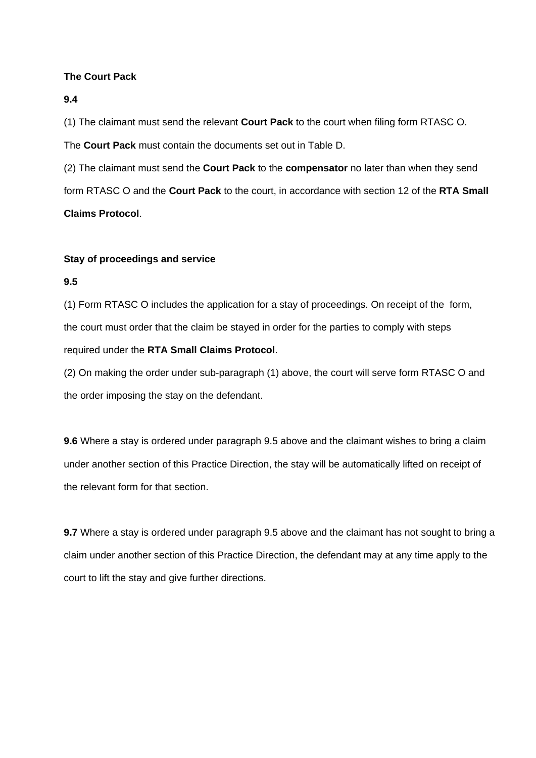## **The Court Pack**

#### **9.4**

(1) The claimant must send the relevant **Court Pack** to the court when filing form RTASC O.

The **Court Pack** must contain the documents set out in Table D.

(2) The claimant must send the **Court Pack** to the **compensator** no later than when they send form RTASC O and the **Court Pack** to the court, in accordance with section 12 of the **RTA Small Claims Protocol**.

#### **Stay of proceedings and service**

## **9.5**

(1) Form RTASC O includes the application for a stay of proceedings. On receipt of the form, the court must order that the claim be stayed in order for the parties to comply with steps required under the **RTA Small Claims Protocol**.

(2) On making the order under sub-paragraph (1) above, the court will serve form RTASC O and the order imposing the stay on the defendant.

**9.6** Where a stay is ordered under paragraph 9.5 above and the claimant wishes to bring a claim under another section of this Practice Direction, the stay will be automatically lifted on receipt of the relevant form for that section.

**9.7** Where a stay is ordered under paragraph 9.5 above and the claimant has not sought to bring a claim under another section of this Practice Direction, the defendant may at any time apply to the court to lift the stay and give further directions.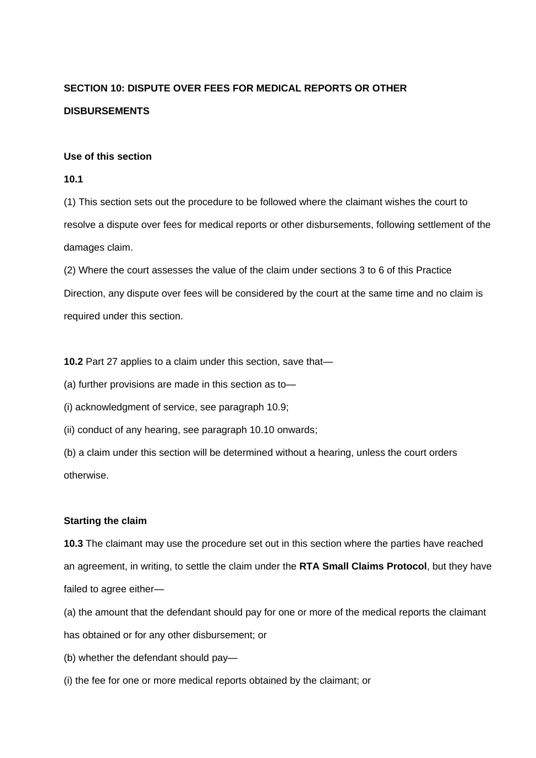## **SECTION 10: DISPUTE OVER FEES FOR MEDICAL REPORTS OR OTHER DISBURSEMENTS**

#### **Use of this section**

#### **10.1**

(1) This section sets out the procedure to be followed where the claimant wishes the court to resolve a dispute over fees for medical reports or other disbursements, following settlement of the damages claim.

(2) Where the court assesses the value of the claim under sections 3 to 6 of this Practice Direction, any dispute over fees will be considered by the court at the same time and no claim is required under this section.

**10.2** Part 27 applies to a claim under this section, save that—

(a) further provisions are made in this section as to—

(i) acknowledgment of service, see paragraph 10.9;

(ii) conduct of any hearing, see paragraph 10.10 onwards;

(b) a claim under this section will be determined without a hearing, unless the court orders otherwise.

## **Starting the claim**

**10.3** The claimant may use the procedure set out in this section where the parties have reached an agreement, in writing, to settle the claim under the **RTA Small Claims Protocol**, but they have failed to agree either—

(a) the amount that the defendant should pay for one or more of the medical reports the claimant has obtained or for any other disbursement; or

- (b) whether the defendant should pay—
- (i) the fee for one or more medical reports obtained by the claimant; or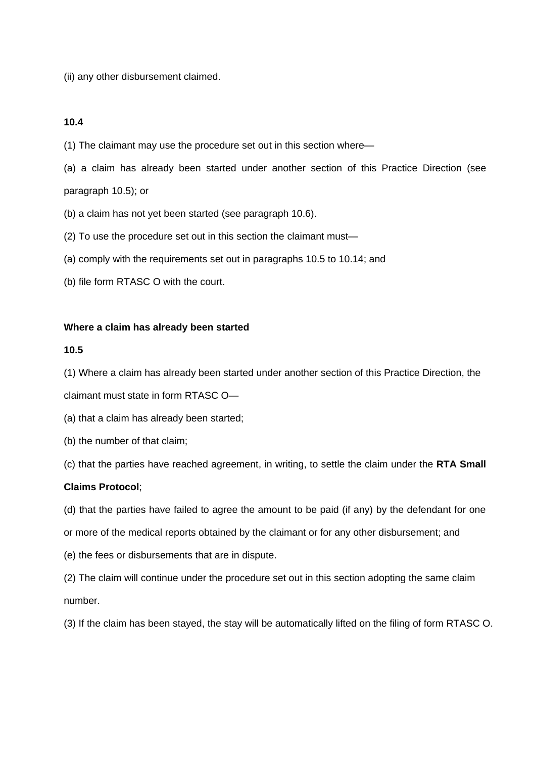(ii) any other disbursement claimed.

#### **10.4**

(1) The claimant may use the procedure set out in this section where—

(a) a claim has already been started under another section of this Practice Direction (see paragraph 10.5); or

(b) a claim has not yet been started (see paragraph 10.6).

(2) To use the procedure set out in this section the claimant must—

(a) comply with the requirements set out in paragraphs 10.5 to 10.14; and

(b) file form RTASC O with the court.

#### **Where a claim has already been started**

#### **10.5**

(1) Where a claim has already been started under another section of this Practice Direction, the

claimant must state in form RTASC O—

(a) that a claim has already been started;

(b) the number of that claim;

(c) that the parties have reached agreement, in writing, to settle the claim under the **RTA Small** 

#### **Claims Protocol**;

(d) that the parties have failed to agree the amount to be paid (if any) by the defendant for one or more of the medical reports obtained by the claimant or for any other disbursement; and

(e) the fees or disbursements that are in dispute.

(2) The claim will continue under the procedure set out in this section adopting the same claim number.

(3) If the claim has been stayed, the stay will be automatically lifted on the filing of form RTASC O.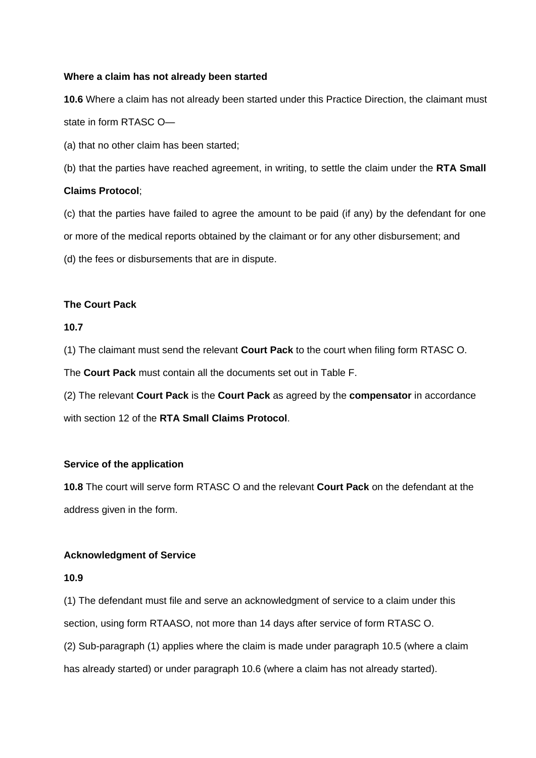### **Where a claim has not already been started**

**10.6** Where a claim has not already been started under this Practice Direction, the claimant must state in form RTASC O—

(a) that no other claim has been started;

(b) that the parties have reached agreement, in writing, to settle the claim under the **RTA Small**

#### **Claims Protocol**;

(c) that the parties have failed to agree the amount to be paid (if any) by the defendant for one or more of the medical reports obtained by the claimant or for any other disbursement; and (d) the fees or disbursements that are in dispute.

## **The Court Pack**

#### **10.7**

(1) The claimant must send the relevant **Court Pack** to the court when filing form RTASC O.

The **Court Pack** must contain all the documents set out in Table F.

(2) The relevant **Court Pack** is the **Court Pack** as agreed by the **compensator** in accordance with section 12 of the **RTA Small Claims Protocol**.

## **Service of the application**

**10.8** The court will serve form RTASC O and the relevant **Court Pack** on the defendant at the address given in the form.

## **Acknowledgment of Service**

#### **10.9**

(1) The defendant must file and serve an acknowledgment of service to a claim under this section, using form RTAASO, not more than 14 days after service of form RTASC O. (2) Sub-paragraph (1) applies where the claim is made under paragraph 10.5 (where a claim has already started) or under paragraph 10.6 (where a claim has not already started).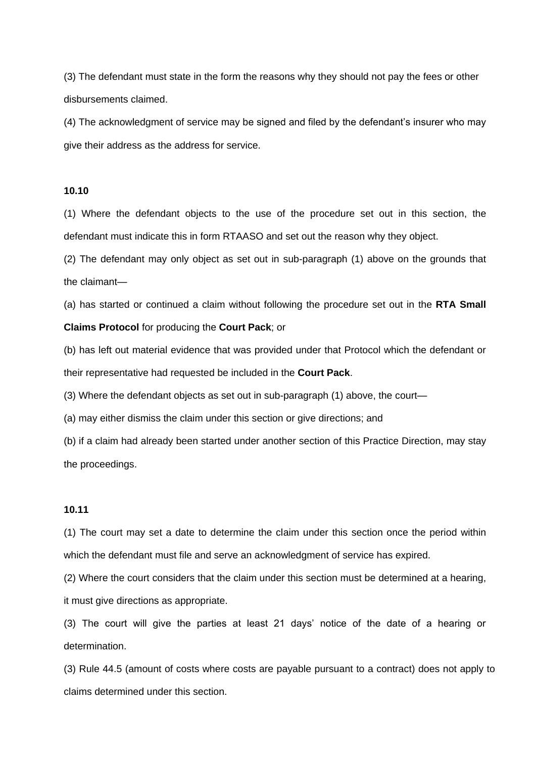(3) The defendant must state in the form the reasons why they should not pay the fees or other disbursements claimed.

(4) The acknowledgment of service may be signed and filed by the defendant's insurer who may give their address as the address for service.

## **10.10**

(1) Where the defendant objects to the use of the procedure set out in this section, the defendant must indicate this in form RTAASO and set out the reason why they object.

(2) The defendant may only object as set out in sub-paragraph (1) above on the grounds that the claimant—

(a) has started or continued a claim without following the procedure set out in the **RTA Small Claims Protocol** for producing the **Court Pack**; or

(b) has left out material evidence that was provided under that Protocol which the defendant or their representative had requested be included in the **Court Pack**.

(3) Where the defendant objects as set out in sub-paragraph (1) above, the court—

(a) may either dismiss the claim under this section or give directions; and

(b) if a claim had already been started under another section of this Practice Direction, may stay the proceedings.

## **10.11**

(1) The court may set a date to determine the claim under this section once the period within which the defendant must file and serve an acknowledgment of service has expired.

(2) Where the court considers that the claim under this section must be determined at a hearing, it must give directions as appropriate.

(3) The court will give the parties at least 21 days' notice of the date of a hearing or determination.

(3) Rule 44.5 (amount of costs where costs are payable pursuant to a contract) does not apply to claims determined under this section.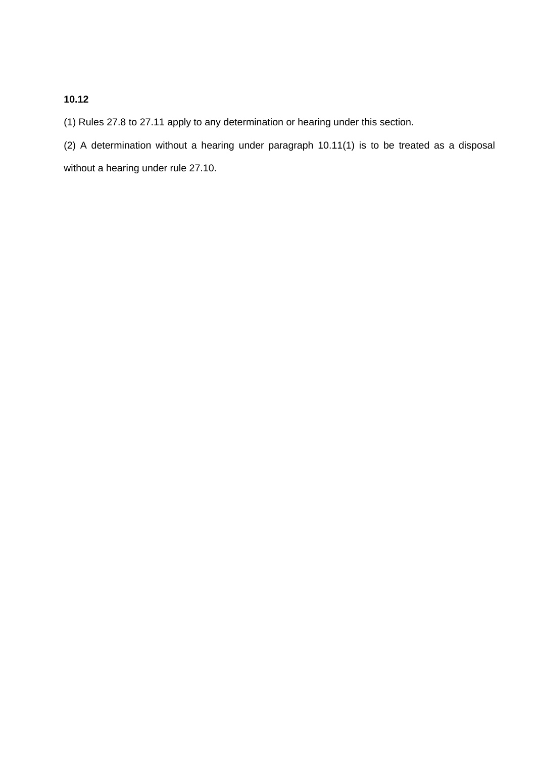## **10.12**

(1) Rules 27.8 to 27.11 apply to any determination or hearing under this section.

(2) A determination without a hearing under paragraph 10.11(1) is to be treated as a disposal without a hearing under rule 27.10.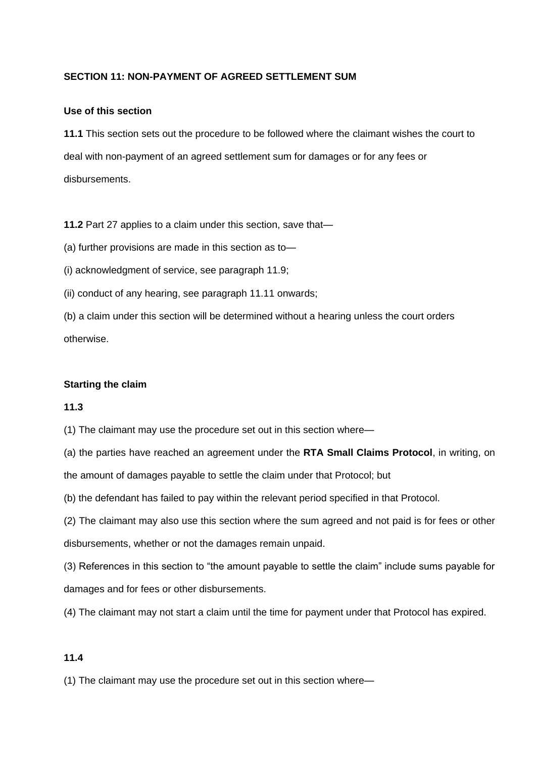## **SECTION 11: NON-PAYMENT OF AGREED SETTLEMENT SUM**

#### **Use of this section**

**11.1** This section sets out the procedure to be followed where the claimant wishes the court to deal with non-payment of an agreed settlement sum for damages or for any fees or disbursements.

**11.2** Part 27 applies to a claim under this section, save that—

(a) further provisions are made in this section as to—

(i) acknowledgment of service, see paragraph 11.9;

(ii) conduct of any hearing, see paragraph 11.11 onwards;

(b) a claim under this section will be determined without a hearing unless the court orders otherwise.

## **Starting the claim**

## **11.3**

(1) The claimant may use the procedure set out in this section where—

(a) the parties have reached an agreement under the **RTA Small Claims Protocol**, in writing, on the amount of damages payable to settle the claim under that Protocol; but

(b) the defendant has failed to pay within the relevant period specified in that Protocol.

(2) The claimant may also use this section where the sum agreed and not paid is for fees or other disbursements, whether or not the damages remain unpaid.

(3) References in this section to "the amount payable to settle the claim" include sums payable for damages and for fees or other disbursements.

(4) The claimant may not start a claim until the time for payment under that Protocol has expired.

## **11.4**

(1) The claimant may use the procedure set out in this section where—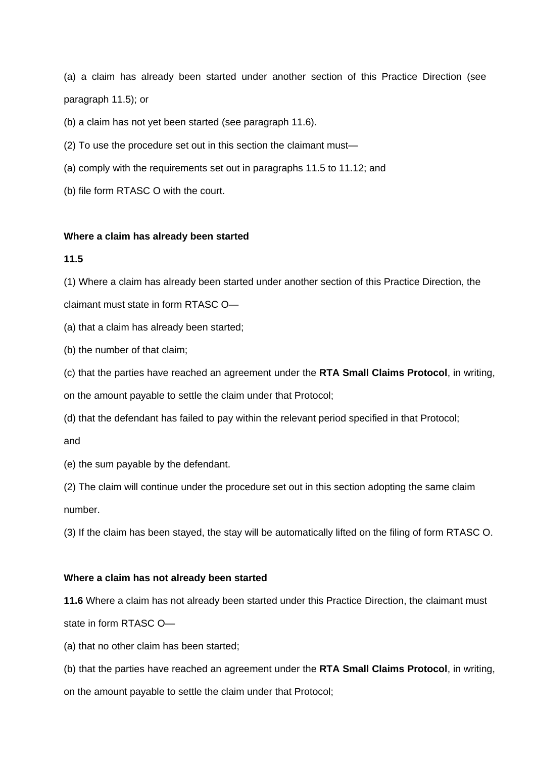(a) a claim has already been started under another section of this Practice Direction (see paragraph 11.5); or

(b) a claim has not yet been started (see paragraph 11.6).

(2) To use the procedure set out in this section the claimant must—

(a) comply with the requirements set out in paragraphs 11.5 to 11.12; and

(b) file form RTASC O with the court.

#### **Where a claim has already been started**

#### **11.5**

(1) Where a claim has already been started under another section of this Practice Direction, the claimant must state in form RTASC O—

(a) that a claim has already been started;

(b) the number of that claim;

(c) that the parties have reached an agreement under the **RTA Small Claims Protocol**, in writing,

on the amount payable to settle the claim under that Protocol;

(d) that the defendant has failed to pay within the relevant period specified in that Protocol;

and

(e) the sum payable by the defendant.

(2) The claim will continue under the procedure set out in this section adopting the same claim number.

(3) If the claim has been stayed, the stay will be automatically lifted on the filing of form RTASC O.

#### **Where a claim has not already been started**

**11.6** Where a claim has not already been started under this Practice Direction, the claimant must state in form RTASC O—

(a) that no other claim has been started;

(b) that the parties have reached an agreement under the **RTA Small Claims Protocol**, in writing,

on the amount payable to settle the claim under that Protocol;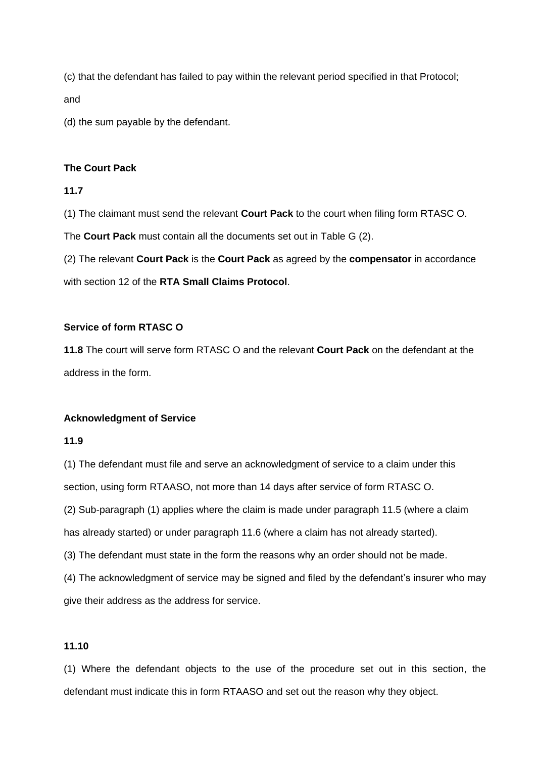(c) that the defendant has failed to pay within the relevant period specified in that Protocol; and

(d) the sum payable by the defendant.

## **The Court Pack**

#### **11.7**

(1) The claimant must send the relevant **Court Pack** to the court when filing form RTASC O.

The **Court Pack** must contain all the documents set out in Table G (2).

(2) The relevant **Court Pack** is the **Court Pack** as agreed by the **compensator** in accordance with section 12 of the **RTA Small Claims Protocol**.

## **Service of form RTASC O**

**11.8** The court will serve form RTASC O and the relevant **Court Pack** on the defendant at the address in the form.

#### **Acknowledgment of Service**

## **11.9**

(1) The defendant must file and serve an acknowledgment of service to a claim under this section, using form RTAASO, not more than 14 days after service of form RTASC O. (2) Sub-paragraph (1) applies where the claim is made under paragraph 11.5 (where a claim has already started) or under paragraph 11.6 (where a claim has not already started). (3) The defendant must state in the form the reasons why an order should not be made. (4) The acknowledgment of service may be signed and filed by the defendant's insurer who may

give their address as the address for service.

## **11.10**

(1) Where the defendant objects to the use of the procedure set out in this section, the defendant must indicate this in form RTAASO and set out the reason why they object.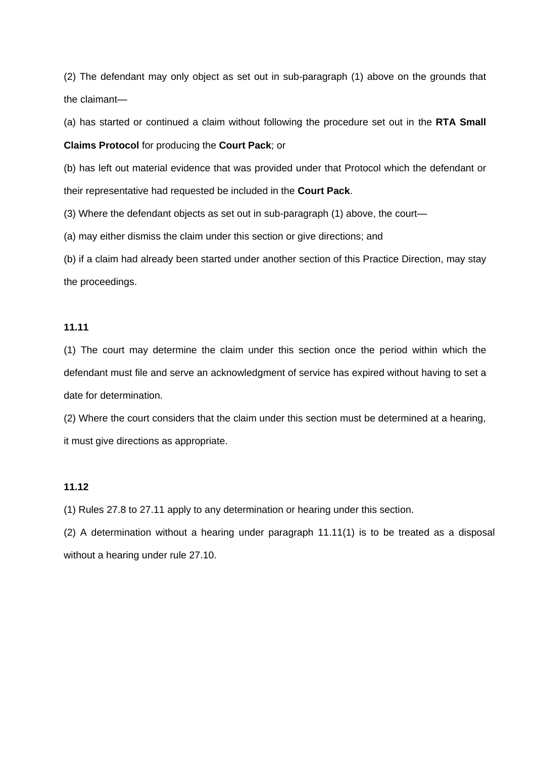(2) The defendant may only object as set out in sub-paragraph (1) above on the grounds that the claimant—

(a) has started or continued a claim without following the procedure set out in the **RTA Small** 

**Claims Protocol** for producing the **Court Pack**; or

(b) has left out material evidence that was provided under that Protocol which the defendant or their representative had requested be included in the **Court Pack**.

(3) Where the defendant objects as set out in sub-paragraph (1) above, the court—

(a) may either dismiss the claim under this section or give directions; and

(b) if a claim had already been started under another section of this Practice Direction, may stay the proceedings.

## **11.11**

(1) The court may determine the claim under this section once the period within which the defendant must file and serve an acknowledgment of service has expired without having to set a date for determination.

(2) Where the court considers that the claim under this section must be determined at a hearing, it must give directions as appropriate.

#### **11.12**

(1) Rules 27.8 to 27.11 apply to any determination or hearing under this section.

(2) A determination without a hearing under paragraph 11.11(1) is to be treated as a disposal without a hearing under rule 27.10.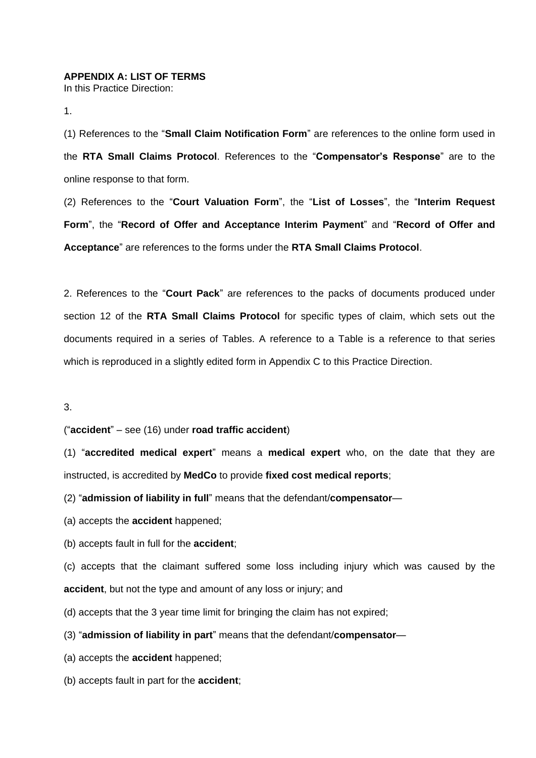## **APPENDIX A: LIST OF TERMS**

In this Practice Direction:

1.

(1) References to the "**Small Claim Notification Form**" are references to the online form used in the **RTA Small Claims Protocol**. References to the "**Compensator's Response**" are to the online response to that form.

(2) References to the "**Court Valuation Form**", the "**List of Losses**", the "**Interim Request Form**", the "**Record of Offer and Acceptance Interim Payment**" and "**Record of Offer and Acceptance**" are references to the forms under the **RTA Small Claims Protocol**.

2. References to the "**Court Pack**" are references to the packs of documents produced under section 12 of the **RTA Small Claims Protocol** for specific types of claim, which sets out the documents required in a series of Tables. A reference to a Table is a reference to that series which is reproduced in a slightly edited form in Appendix C to this Practice Direction.

3.

("**accident**" – see (16) under **road traffic accident**)

(1) "**accredited medical expert**" means a **medical expert** who, on the date that they are instructed, is accredited by **MedCo** to provide **fixed cost medical reports**;

(2) "**admission of liability in full**" means that the defendant/**compensator**—

(a) accepts the **accident** happened;

(b) accepts fault in full for the **accident**;

(c) accepts that the claimant suffered some loss including injury which was caused by the **accident**, but not the type and amount of any loss or injury; and

(d) accepts that the 3 year time limit for bringing the claim has not expired;

(3) "**admission of liability in part**" means that the defendant/**compensator**—

(a) accepts the **accident** happened;

(b) accepts fault in part for the **accident**;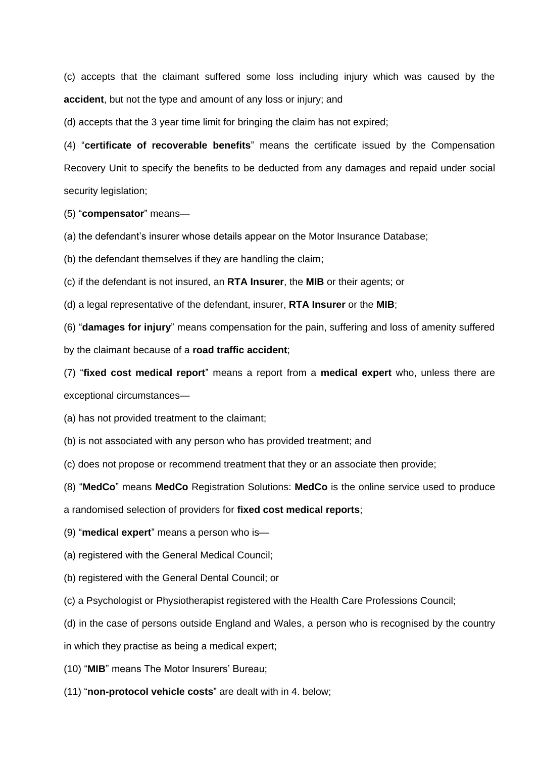(c) accepts that the claimant suffered some loss including injury which was caused by the **accident**, but not the type and amount of any loss or injury; and

(d) accepts that the 3 year time limit for bringing the claim has not expired;

(4) "**certificate of recoverable benefits**" means the certificate issued by the Compensation Recovery Unit to specify the benefits to be deducted from any damages and repaid under social security legislation;

(5) "**compensator**" means—

(a) the defendant's insurer whose details appear on the Motor Insurance Database;

(b) the defendant themselves if they are handling the claim;

(c) if the defendant is not insured, an **RTA Insurer**, the **MIB** or their agents; or

(d) a legal representative of the defendant, insurer, **RTA Insurer** or the **MIB**;

(6) "**damages for injury**" means compensation for the pain, suffering and loss of amenity suffered

by the claimant because of a **road traffic accident**;

(7) "**fixed cost medical report**" means a report from a **medical expert** who, unless there are exceptional circumstances—

(a) has not provided treatment to the claimant;

(b) is not associated with any person who has provided treatment; and

(c) does not propose or recommend treatment that they or an associate then provide;

(8) "**MedCo**" means **MedCo** Registration Solutions: **MedCo** is the online service used to produce

a randomised selection of providers for **fixed cost medical reports**;

(9) "**medical expert**" means a person who is—

(a) registered with the General Medical Council;

(b) registered with the General Dental Council; or

(c) a Psychologist or Physiotherapist registered with the Health Care Professions Council;

(d) in the case of persons outside England and Wales, a person who is recognised by the country

in which they practise as being a medical expert;

(10) "**MIB**" means The Motor Insurers' Bureau;

(11) "**non-protocol vehicle costs**" are dealt with in 4. below;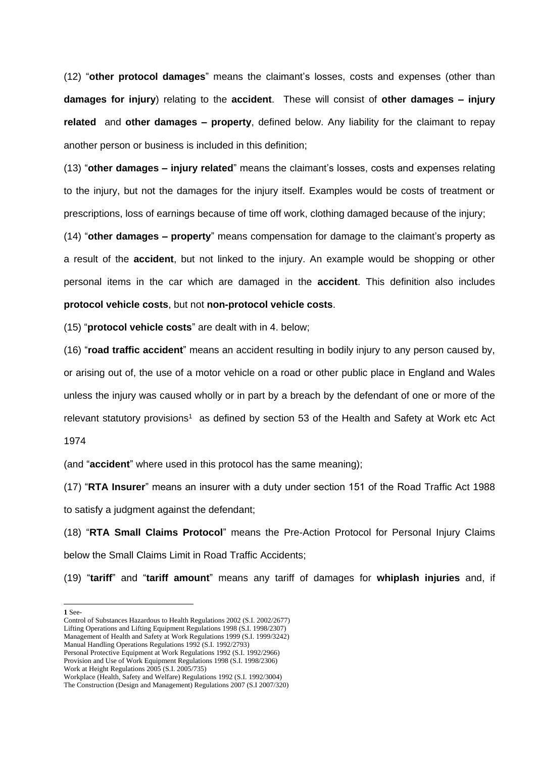(12) "**other protocol damages**" means the claimant's losses, costs and expenses (other than **damages for injury**) relating to the **accident**. These will consist of **other damages – injury related** and **other damages – property**, defined below. Any liability for the claimant to repay another person or business is included in this definition;

(13) "**other damages – injury related**" means the claimant's losses, costs and expenses relating to the injury, but not the damages for the injury itself. Examples would be costs of treatment or prescriptions, loss of earnings because of time off work, clothing damaged because of the injury;

(14) "**other damages – property**" means compensation for damage to the claimant's property as a result of the **accident**, but not linked to the injury. An example would be shopping or other personal items in the car which are damaged in the **accident**. This definition also includes **protocol vehicle costs**, but not **non-protocol vehicle costs**.

(15) "**protocol vehicle costs**" are dealt with in 4. below;

(16) "**road traffic accident**" means an accident resulting in bodily injury to any person caused by, or arising out of, the use of a motor vehicle on a road or other public place in England and Wales unless the injury was caused wholly or in part by a breach by the defendant of one or more of the relevant statutory provisions<sup>1</sup> as defined by section 53 of the Health and Safety at Work etc Act

1974

(and "**accident**" where used in this protocol has the same meaning);

(17) "**RTA Insurer**" means an insurer with a duty under section 151 of the Road Traffic Act 1988 to satisfy a judgment against the defendant;

(18) "**RTA Small Claims Protocol**" means the Pre-Action Protocol for Personal Injury Claims below the Small Claims Limit in Road Traffic Accidents;

(19) "**tariff**" and "**tariff amount**" means any tariff of damages for **whiplash injuries** and, if

**1** See-

-

Control of Substances Hazardous to Health Regulations 2002 (S.I. 2002/2677) Lifting Operations and Lifting Equipment Regulations 1998 (S.I. 1998/2307) Management of Health and Safety at Work Regulations 1999 (S.I. 1999/3242) Manual Handling Operations Regulations 1992 (S.I. 1992/2793) Personal Protective Equipment at Work Regulations 1992 (S.I. 1992/2966) Provision and Use of Work Equipment Regulations 1998 (S.I. 1998/2306) Work at Height Regulations 2005 (S.I. 2005/735) Workplace (Health, Safety and Welfare) Regulations 1992 (S.I. 1992/3004)

The Construction (Design and Management) Regulations 2007 (S.I 2007/320)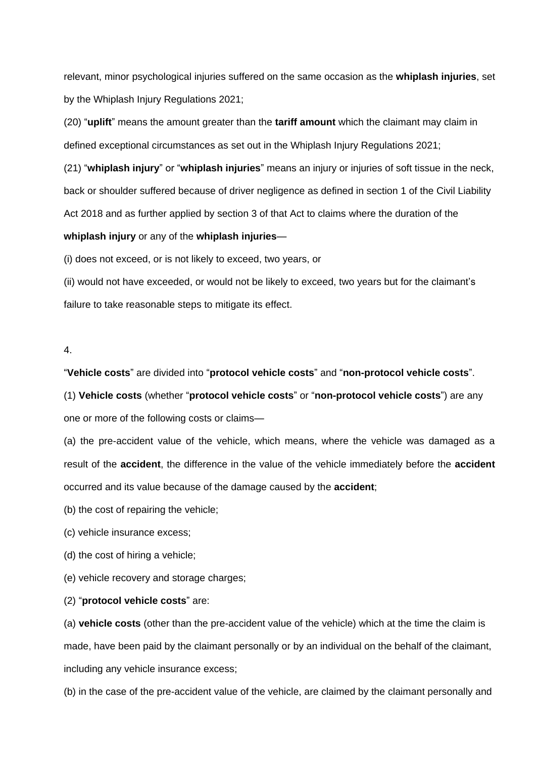relevant, minor psychological injuries suffered on the same occasion as the **whiplash injuries**, set by the Whiplash Injury Regulations 2021;

(20) "**uplift**" means the amount greater than the **tariff amount** which the claimant may claim in defined exceptional circumstances as set out in the Whiplash Injury Regulations 2021;

(21) "**whiplash injury**" or "**whiplash injuries**" means an injury or injuries of soft tissue in the neck, back or shoulder suffered because of driver negligence as defined in section 1 of the Civil Liability Act 2018 and as further applied by section 3 of that Act to claims where the duration of the

#### **whiplash injury** or any of the **whiplash injuries**—

(i) does not exceed, or is not likely to exceed, two years, or

(ii) would not have exceeded, or would not be likely to exceed, two years but for the claimant's failure to take reasonable steps to mitigate its effect.

#### 4.

"**Vehicle costs**" are divided into "**protocol vehicle costs**" and "**non-protocol vehicle costs**".

(1) **Vehicle costs** (whether "**protocol vehicle costs**" or "**non-protocol vehicle costs**") are any one or more of the following costs or claims—

(a) the pre-accident value of the vehicle, which means, where the vehicle was damaged as a result of the **accident**, the difference in the value of the vehicle immediately before the **accident** occurred and its value because of the damage caused by the **accident**;

(b) the cost of repairing the vehicle;

(c) vehicle insurance excess;

(d) the cost of hiring a vehicle;

(e) vehicle recovery and storage charges;

(2) "**protocol vehicle costs**" are:

(a) **vehicle costs** (other than the pre-accident value of the vehicle) which at the time the claim is made, have been paid by the claimant personally or by an individual on the behalf of the claimant, including any vehicle insurance excess;

(b) in the case of the pre-accident value of the vehicle, are claimed by the claimant personally and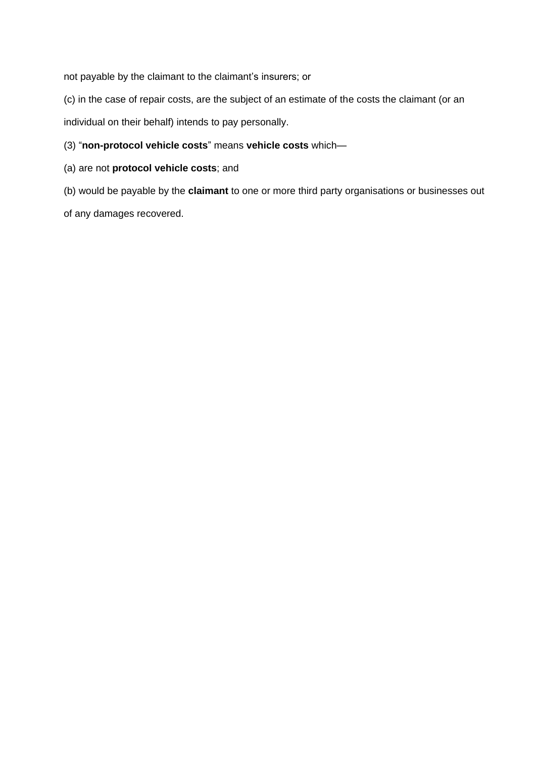not payable by the claimant to the claimant's insurers; or

(c) in the case of repair costs, are the subject of an estimate of the costs the claimant (or an individual on their behalf) intends to pay personally.

- (3) "**non-protocol vehicle costs**" means **vehicle costs** which—
- (a) are not **protocol vehicle costs**; and

(b) would be payable by the **claimant** to one or more third party organisations or businesses out of any damages recovered.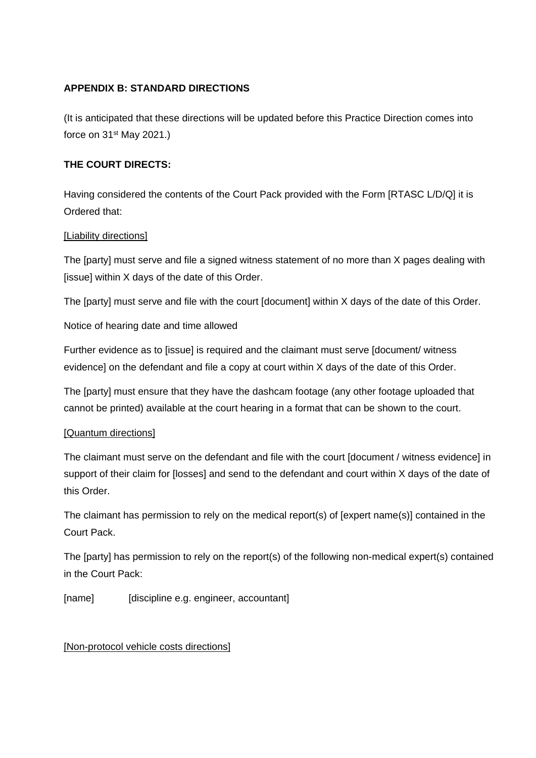## **APPENDIX B: STANDARD DIRECTIONS**

(It is anticipated that these directions will be updated before this Practice Direction comes into force on 31st May 2021.)

## **THE COURT DIRECTS:**

Having considered the contents of the Court Pack provided with the Form [RTASC L/D/Q] it is Ordered that:

## [Liability directions]

The [party] must serve and file a signed witness statement of no more than X pages dealing with [issue] within X days of the date of this Order.

The [party] must serve and file with the court [document] within X days of the date of this Order.

Notice of hearing date and time allowed

Further evidence as to [issue] is required and the claimant must serve [document/ witness evidence] on the defendant and file a copy at court within X days of the date of this Order.

The [party] must ensure that they have the dashcam footage (any other footage uploaded that cannot be printed) available at the court hearing in a format that can be shown to the court.

## [Quantum directions]

The claimant must serve on the defendant and file with the court [document / witness evidence] in support of their claim for [losses] and send to the defendant and court within X days of the date of this Order.

The claimant has permission to rely on the medical report(s) of [expert name(s)] contained in the Court Pack.

The [party] has permission to rely on the report(s) of the following non-medical expert(s) contained in the Court Pack:

[name] [discipline e.g. engineer, accountant]

## [Non-protocol vehicle costs directions]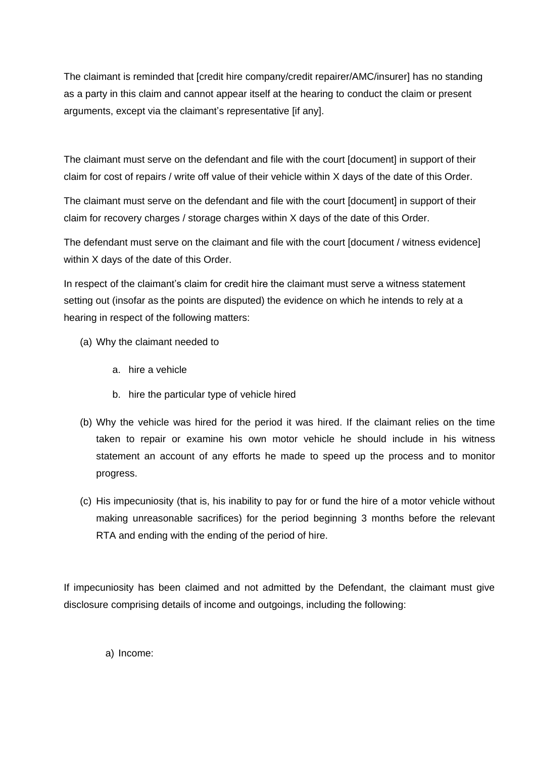The claimant is reminded that [credit hire company/credit repairer/AMC/insurer] has no standing as a party in this claim and cannot appear itself at the hearing to conduct the claim or present arguments, except via the claimant's representative [if any].

The claimant must serve on the defendant and file with the court [document] in support of their claim for cost of repairs / write off value of their vehicle within X days of the date of this Order.

The claimant must serve on the defendant and file with the court [document] in support of their claim for recovery charges / storage charges within X days of the date of this Order.

The defendant must serve on the claimant and file with the court [document / witness evidence] within X days of the date of this Order.

In respect of the claimant's claim for credit hire the claimant must serve a witness statement setting out (insofar as the points are disputed) the evidence on which he intends to rely at a hearing in respect of the following matters:

- (a) Why the claimant needed to
	- a. hire a vehicle
	- b. hire the particular type of vehicle hired
- (b) Why the vehicle was hired for the period it was hired. If the claimant relies on the time taken to repair or examine his own motor vehicle he should include in his witness statement an account of any efforts he made to speed up the process and to monitor progress.
- (c) His impecuniosity (that is, his inability to pay for or fund the hire of a motor vehicle without making unreasonable sacrifices) for the period beginning 3 months before the relevant RTA and ending with the ending of the period of hire.

If impecuniosity has been claimed and not admitted by the Defendant, the claimant must give disclosure comprising details of income and outgoings, including the following:

a) Income: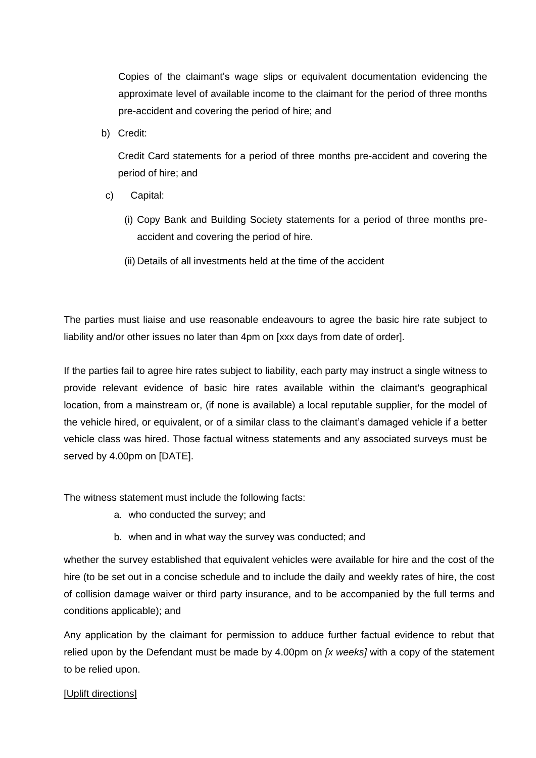Copies of the claimant's wage slips or equivalent documentation evidencing the approximate level of available income to the claimant for the period of three months pre-accident and covering the period of hire; and

b) Credit:

Credit Card statements for a period of three months pre-accident and covering the period of hire; and

- c) Capital:
	- (i) Copy Bank and Building Society statements for a period of three months preaccident and covering the period of hire.
	- (ii) Details of all investments held at the time of the accident

The parties must liaise and use reasonable endeavours to agree the basic hire rate subject to liability and/or other issues no later than 4pm on [xxx days from date of order].

If the parties fail to agree hire rates subject to liability, each party may instruct a single witness to provide relevant evidence of basic hire rates available within the claimant's geographical location, from a mainstream or, (if none is available) a local reputable supplier, for the model of the vehicle hired, or equivalent, or of a similar class to the claimant's damaged vehicle if a better vehicle class was hired. Those factual witness statements and any associated surveys must be served by 4.00pm on [DATE].

The witness statement must include the following facts:

- a. who conducted the survey; and
- b. when and in what way the survey was conducted; and

whether the survey established that equivalent vehicles were available for hire and the cost of the hire (to be set out in a concise schedule and to include the daily and weekly rates of hire, the cost of collision damage waiver or third party insurance, and to be accompanied by the full terms and conditions applicable); and

Any application by the claimant for permission to adduce further factual evidence to rebut that relied upon by the Defendant must be made by 4.00pm on *[x weeks]* with a copy of the statement to be relied upon.

#### [Uplift directions]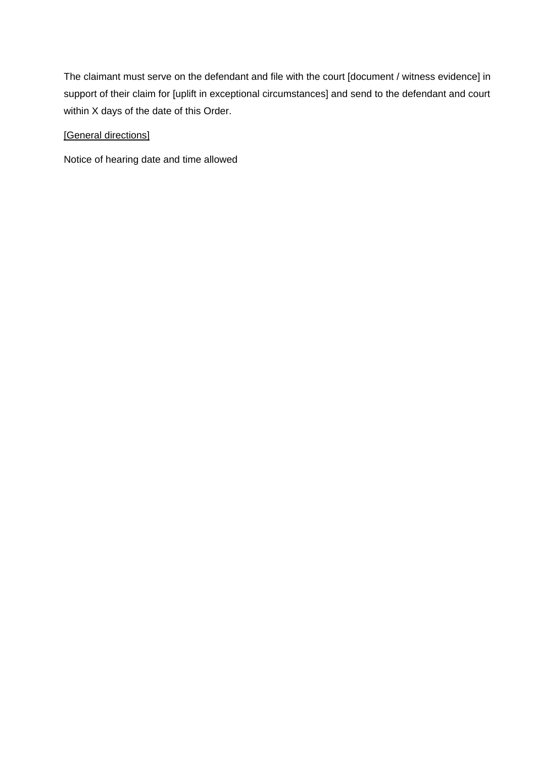The claimant must serve on the defendant and file with the court [document / witness evidence] in support of their claim for [uplift in exceptional circumstances] and send to the defendant and court within X days of the date of this Order.

## [General directions]

Notice of hearing date and time allowed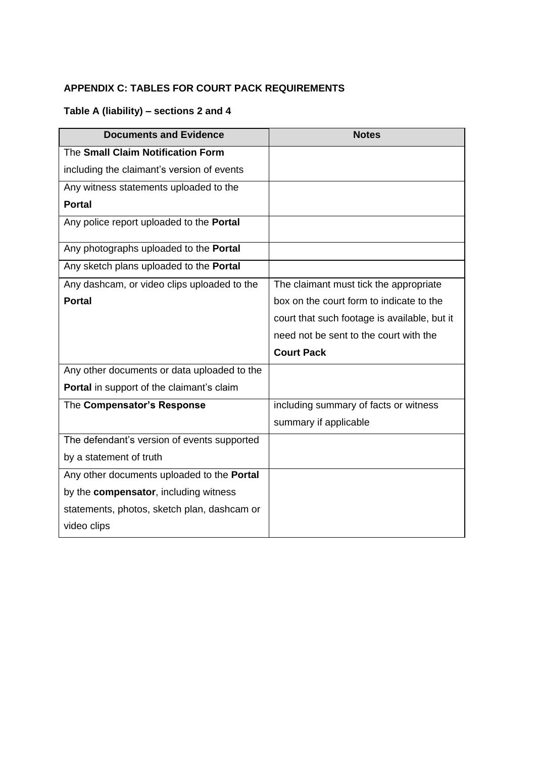## **APPENDIX C: TABLES FOR COURT PACK REQUIREMENTS**

# **Table A (liability) – sections 2 and 4**

| <b>Documents and Evidence</b>               | <b>Notes</b>                                 |
|---------------------------------------------|----------------------------------------------|
| The Small Claim Notification Form           |                                              |
| including the claimant's version of events  |                                              |
| Any witness statements uploaded to the      |                                              |
| <b>Portal</b>                               |                                              |
| Any police report uploaded to the Portal    |                                              |
| Any photographs uploaded to the Portal      |                                              |
| Any sketch plans uploaded to the Portal     |                                              |
| Any dashcam, or video clips uploaded to the | The claimant must tick the appropriate       |
| <b>Portal</b>                               | box on the court form to indicate to the     |
|                                             | court that such footage is available, but it |
|                                             | need not be sent to the court with the       |
|                                             | <b>Court Pack</b>                            |
| Any other documents or data uploaded to the |                                              |
| Portal in support of the claimant's claim   |                                              |
| The Compensator's Response                  | including summary of facts or witness        |
|                                             | summary if applicable                        |
| The defendant's version of events supported |                                              |
| by a statement of truth                     |                                              |
| Any other documents uploaded to the Portal  |                                              |
| by the compensator, including witness       |                                              |
| statements, photos, sketch plan, dashcam or |                                              |
| video clips                                 |                                              |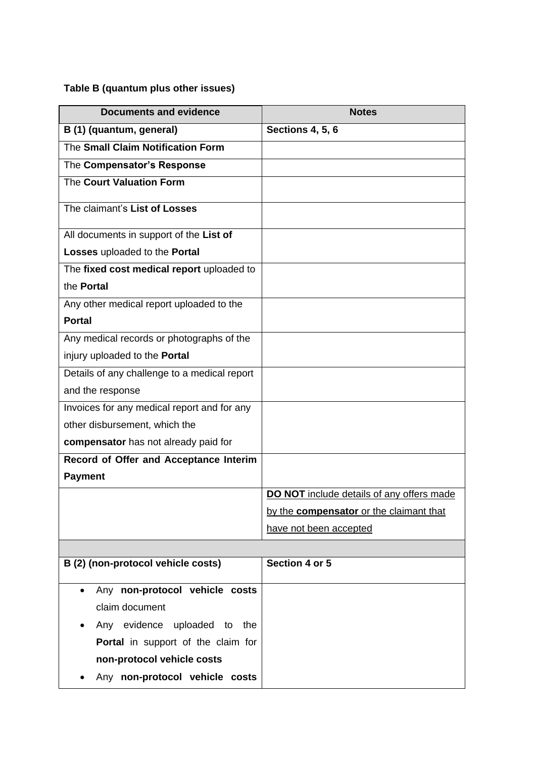# **Table B (quantum plus other issues)**

| <b>Documents and evidence</b>                | <b>Notes</b>                              |
|----------------------------------------------|-------------------------------------------|
| B (1) (quantum, general)                     | <b>Sections 4, 5, 6</b>                   |
| The Small Claim Notification Form            |                                           |
| The Compensator's Response                   |                                           |
| The Court Valuation Form                     |                                           |
| The claimant's List of Losses                |                                           |
| All documents in support of the List of      |                                           |
| Losses uploaded to the Portal                |                                           |
| The fixed cost medical report uploaded to    |                                           |
| the <b>Portal</b>                            |                                           |
| Any other medical report uploaded to the     |                                           |
| <b>Portal</b>                                |                                           |
| Any medical records or photographs of the    |                                           |
| injury uploaded to the Portal                |                                           |
| Details of any challenge to a medical report |                                           |
| and the response                             |                                           |
| Invoices for any medical report and for any  |                                           |
| other disbursement, which the                |                                           |
| compensator has not already paid for         |                                           |
| Record of Offer and Acceptance Interim       |                                           |
| <b>Payment</b>                               |                                           |
|                                              | DO NOT include details of any offers made |
|                                              | by the compensator or the claimant that   |
|                                              | have not been accepted                    |
| B (2) (non-protocol vehicle costs)           | Section 4 or 5                            |
|                                              |                                           |
| Any non-protocol vehicle costs<br>$\bullet$  |                                           |
| claim document                               |                                           |
| Any evidence uploaded to<br>the              |                                           |
| Portal in support of the claim for           |                                           |
| non-protocol vehicle costs                   |                                           |
| Any non-protocol vehicle costs               |                                           |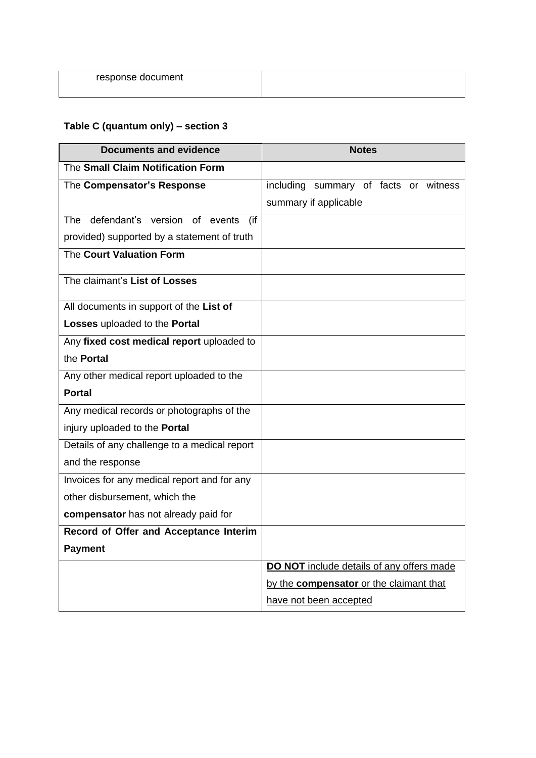| response document |  |
|-------------------|--|
|                   |  |

# **Table C (quantum only) – section 3**

| <b>Documents and evidence</b>                | <b>Notes</b>                              |
|----------------------------------------------|-------------------------------------------|
| The Small Claim Notification Form            |                                           |
| The Compensator's Response                   | including summary of facts or witness     |
|                                              | summary if applicable                     |
| The defendant's version of events<br>(if     |                                           |
| provided) supported by a statement of truth  |                                           |
| The Court Valuation Form                     |                                           |
| The claimant's List of Losses                |                                           |
| All documents in support of the List of      |                                           |
| Losses uploaded to the Portal                |                                           |
| Any fixed cost medical report uploaded to    |                                           |
| the Portal                                   |                                           |
| Any other medical report uploaded to the     |                                           |
| <b>Portal</b>                                |                                           |
| Any medical records or photographs of the    |                                           |
| injury uploaded to the Portal                |                                           |
| Details of any challenge to a medical report |                                           |
| and the response                             |                                           |
| Invoices for any medical report and for any  |                                           |
| other disbursement, which the                |                                           |
| compensator has not already paid for         |                                           |
| Record of Offer and Acceptance Interim       |                                           |
| <b>Payment</b>                               |                                           |
|                                              | DO NOT include details of any offers made |
|                                              | by the compensator or the claimant that   |
|                                              | have not been accepted                    |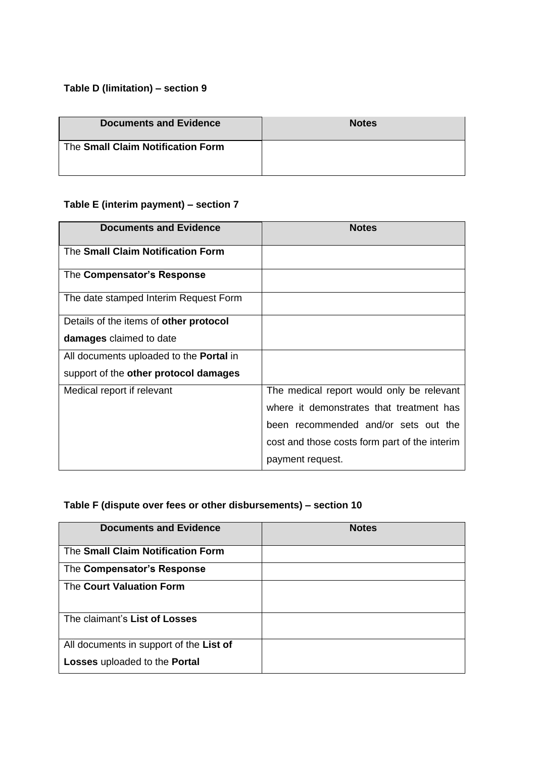# **Table D (limitation) – section 9**

| <b>Documents and Evidence</b>     | <b>Notes</b> |
|-----------------------------------|--------------|
| The Small Claim Notification Form |              |

# **Table E (interim payment) – section 7**

| <b>Documents and Evidence</b>                  | <b>Notes</b>                                  |
|------------------------------------------------|-----------------------------------------------|
| The Small Claim Notification Form              |                                               |
| The Compensator's Response                     |                                               |
| The date stamped Interim Request Form          |                                               |
| Details of the items of other protocol         |                                               |
| damages claimed to date                        |                                               |
| All documents uploaded to the <b>Portal</b> in |                                               |
| support of the other protocol damages          |                                               |
| Medical report if relevant                     | The medical report would only be relevant     |
|                                                | where it demonstrates that treatment has      |
|                                                | been recommended and/or sets out the          |
|                                                | cost and those costs form part of the interim |
|                                                | payment request.                              |

## **Table F (dispute over fees or other disbursements) – section 10**

| <b>Documents and Evidence</b>           | <b>Notes</b> |
|-----------------------------------------|--------------|
| The Small Claim Notification Form       |              |
| The Compensator's Response              |              |
| The Court Valuation Form                |              |
| The claimant's List of Losses           |              |
| All documents in support of the List of |              |
| Losses uploaded to the Portal           |              |